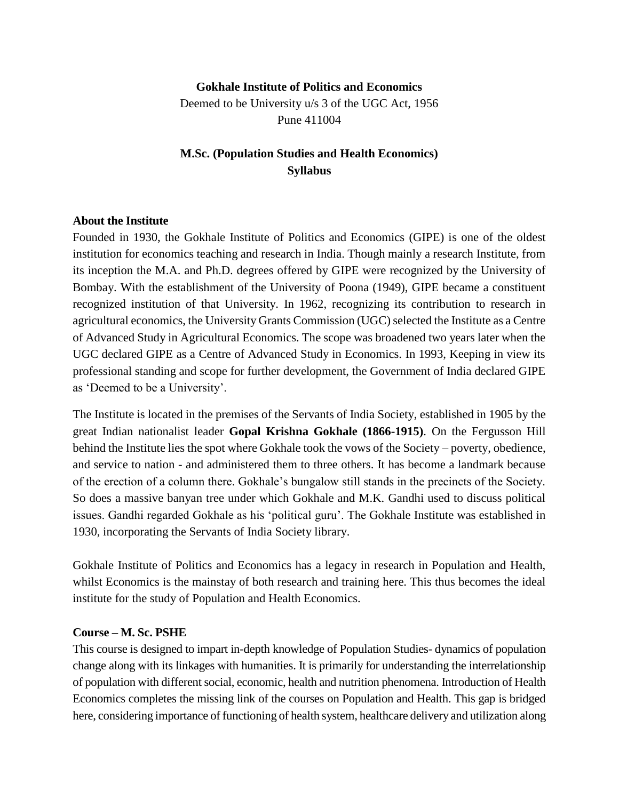#### **Gokhale Institute of Politics and Economics**

Deemed to be University u/s 3 of the UGC Act, 1956 Pune 411004

### **M.Sc. (Population Studies and Health Economics) Syllabus**

#### **About the Institute**

Founded in 1930, the Gokhale Institute of Politics and Economics (GIPE) is one of the oldest institution for economics teaching and research in India. Though mainly a research Institute, from its inception the M.A. and Ph.D. degrees offered by GIPE were recognized by the University of Bombay. With the establishment of the University of Poona (1949), GIPE became a constituent recognized institution of that University. In 1962, recognizing its contribution to research in agricultural economics, the University Grants Commission (UGC) selected the Institute as a Centre of Advanced Study in Agricultural Economics. The scope was broadened two years later when the UGC declared GIPE as a Centre of Advanced Study in Economics. In 1993, Keeping in view its professional standing and scope for further development, the Government of India declared GIPE as 'Deemed to be a University'.

The Institute is located in the premises of the Servants of India Society, established in 1905 by the great Indian nationalist leader **Gopal Krishna Gokhale (1866-1915)**. On the Fergusson Hill behind the Institute lies the spot where Gokhale took the vows of the Society – poverty, obedience, and service to nation - and administered them to three others. It has become a landmark because of the erection of a column there. Gokhale's bungalow still stands in the precincts of the Society. So does a massive banyan tree under which Gokhale and M.K. Gandhi used to discuss political issues. Gandhi regarded Gokhale as his 'political guru'. The Gokhale Institute was established in 1930, incorporating the Servants of India Society library.

Gokhale Institute of Politics and Economics has a legacy in research in Population and Health, whilst Economics is the mainstay of both research and training here. This thus becomes the ideal institute for the study of Population and Health Economics.

#### **Course – M. Sc. PSHE**

This course is designed to impart in-depth knowledge of Population Studies- dynamics of population change along with its linkages with humanities. It is primarily for understanding the interrelationship of population with different social, economic, health and nutrition phenomena. Introduction of Health Economics completes the missing link of the courses on Population and Health. This gap is bridged here, considering importance of functioning of health system, healthcare delivery and utilization along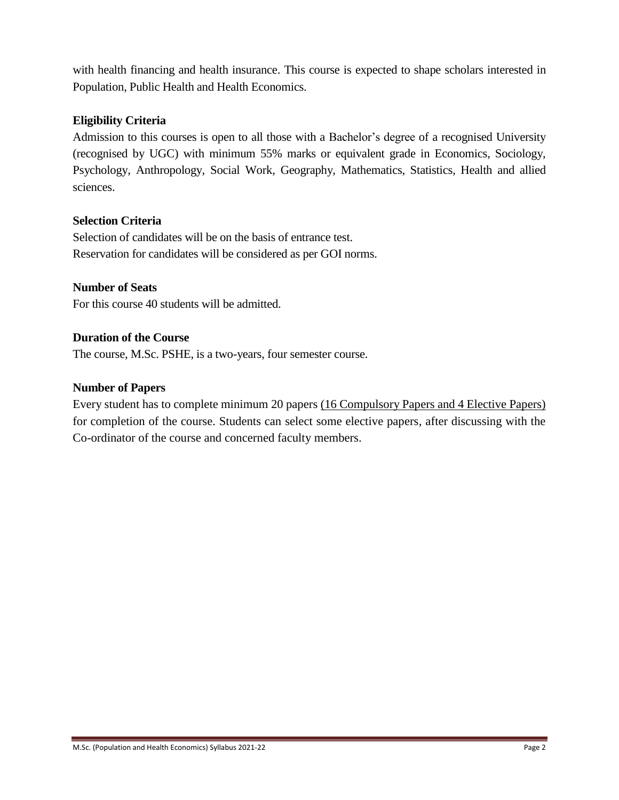with health financing and health insurance. This course is expected to shape scholars interested in Population, Public Health and Health Economics.

#### **Eligibility Criteria**

Admission to this courses is open to all those with a Bachelor's degree of a recognised University (recognised by UGC) with minimum 55% marks or equivalent grade in Economics, Sociology, Psychology, Anthropology, Social Work, Geography, Mathematics, Statistics, Health and allied sciences.

#### **Selection Criteria**

Selection of candidates will be on the basis of entrance test. Reservation for candidates will be considered as per GOI norms.

#### **Number of Seats**

For this course 40 students will be admitted.

#### **Duration of the Course**

The course, M.Sc. PSHE, is a two-years, four semester course.

#### **Number of Papers**

Every student has to complete minimum 20 papers (16 Compulsory Papers and 4 Elective Papers) for completion of the course. Students can select some elective papers, after discussing with the Co-ordinator of the course and concerned faculty members.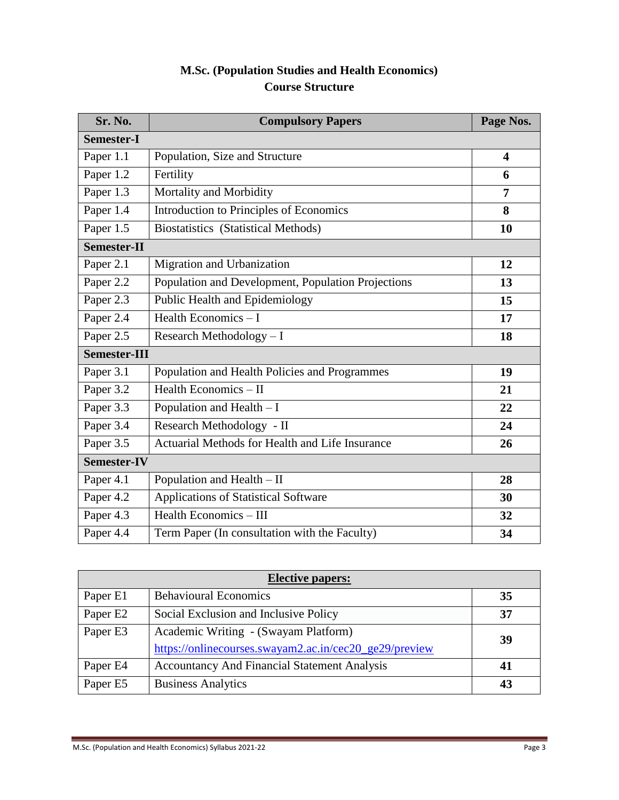# **M.Sc. (Population Studies and Health Economics) Course Structure**

| Sr. No.             | <b>Compulsory Papers</b>                           | Page Nos.               |  |
|---------------------|----------------------------------------------------|-------------------------|--|
| <b>Semester-I</b>   |                                                    |                         |  |
| Paper 1.1           | Population, Size and Structure                     | $\overline{\mathbf{4}}$ |  |
| Paper 1.2           | Fertility                                          | 6                       |  |
| Paper 1.3           | Mortality and Morbidity                            | 7                       |  |
| Paper 1.4           | Introduction to Principles of Economics            | 8                       |  |
| Paper 1.5           | <b>Biostatistics</b> (Statistical Methods)         | 10                      |  |
| Semester-II         |                                                    |                         |  |
| Paper 2.1           | Migration and Urbanization                         | 12                      |  |
| Paper 2.2           | Population and Development, Population Projections | 13                      |  |
| Paper 2.3           | Public Health and Epidemiology                     | 15                      |  |
| Paper 2.4           | Health Economics $-1$                              | 17                      |  |
| Paper 2.5           | Research Methodology $- I$                         | 18                      |  |
| <b>Semester-III</b> |                                                    |                         |  |
| Paper 3.1           | Population and Health Policies and Programmes      | 19                      |  |
| Paper 3.2           | Health Economics - II                              | 21                      |  |
| Paper 3.3           | Population and Health $- I$                        | 22                      |  |
| Paper 3.4           | Research Methodology - II                          | 24                      |  |
| Paper 3.5           | Actuarial Methods for Health and Life Insurance    | 26                      |  |
| <b>Semester-IV</b>  |                                                    |                         |  |
| Paper 4.1           | Population and Health - II                         | 28                      |  |
| Paper 4.2           | Applications of Statistical Software               | 30                      |  |
| Paper 4.3           | Health Economics - III                             | 32                      |  |
| Paper 4.4           | Term Paper (In consultation with the Faculty)      | 34                      |  |

| <b>Elective papers:</b> |                                                        |    |  |
|-------------------------|--------------------------------------------------------|----|--|
| Paper E1                | <b>Behavioural Economics</b>                           | 35 |  |
| Paper E2                | Social Exclusion and Inclusive Policy                  | 37 |  |
| Paper E3                | Academic Writing - (Swayam Platform)                   | 39 |  |
|                         | https://onlinecourses.swayam2.ac.in/cec20_ge29/preview |    |  |
| Paper E4                | <b>Accountancy And Financial Statement Analysis</b>    | 41 |  |
| Paper E5                | <b>Business Analytics</b>                              | 43 |  |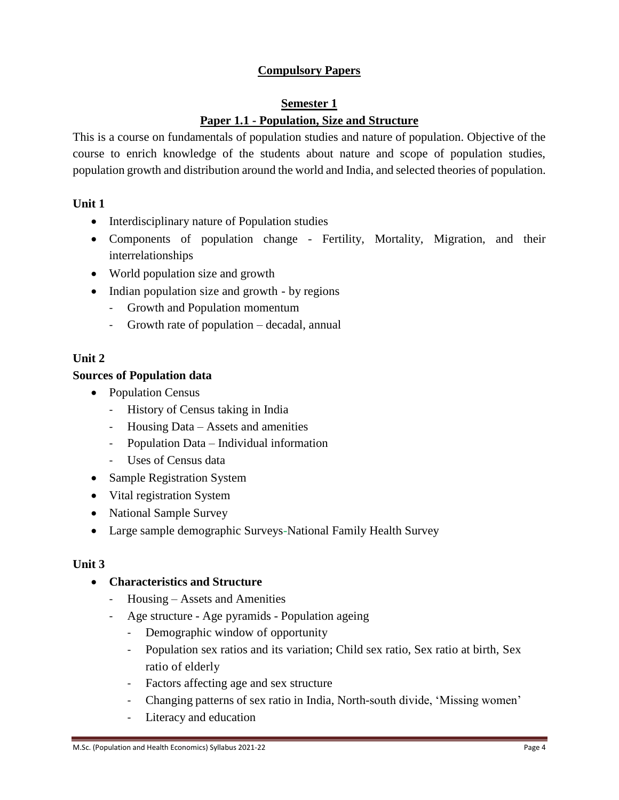## **Compulsory Papers**

#### **Semester 1 Paper 1.1 - Population, Size and Structure**

This is a course on fundamentals of population studies and nature of population. Objective of the course to enrich knowledge of the students about nature and scope of population studies, population growth and distribution around the world and India, and selected theories of population.

#### **Unit 1**

- Interdisciplinary nature of Population studies
- Components of population change Fertility, Mortality, Migration, and their interrelationships
- World population size and growth
- Indian population size and growth by regions
	- Growth and Population momentum
	- Growth rate of population decadal, annual

#### **Unit 2**

#### **Sources of Population data**

- Population Census
	- History of Census taking in India
	- Housing Data Assets and amenities
	- Population Data Individual information
	- Uses of Census data
- Sample Registration System
- Vital registration System
- National Sample Survey
- Large sample demographic Surveys-National Family Health Survey

#### **Unit 3**

#### **Characteristics and Structure**

- Housing Assets and Amenities
- Age structure Age pyramids Population ageing
	- Demographic window of opportunity
	- Population sex ratios and its variation; Child sex ratio, Sex ratio at birth, Sex ratio of elderly
	- Factors affecting age and sex structure
	- Changing patterns of sex ratio in India, North-south divide, 'Missing women'
	- Literacy and education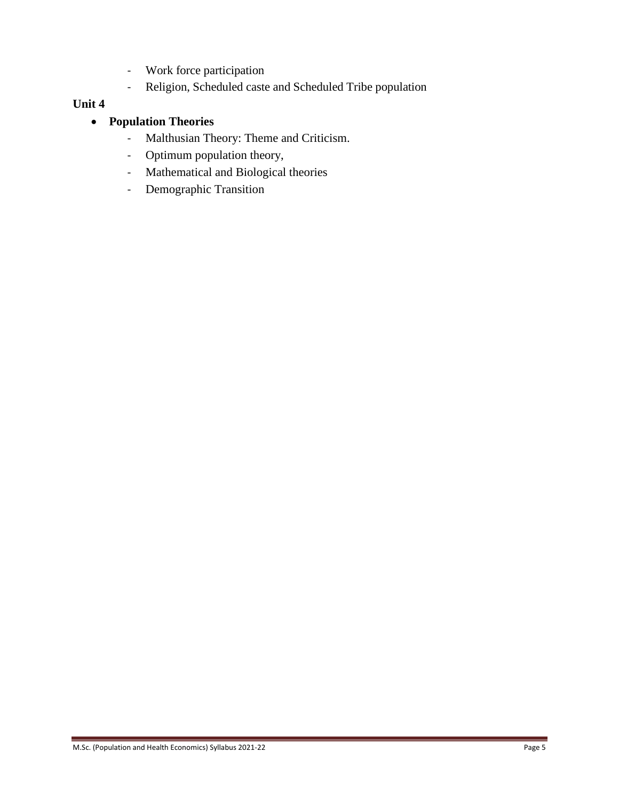- Work force participation
- Religion, Scheduled caste and Scheduled Tribe population

#### **Unit 4**

## **Population Theories**

- Malthusian Theory: Theme and Criticism.
- Optimum population theory,
- Mathematical and Biological theories
- Demographic Transition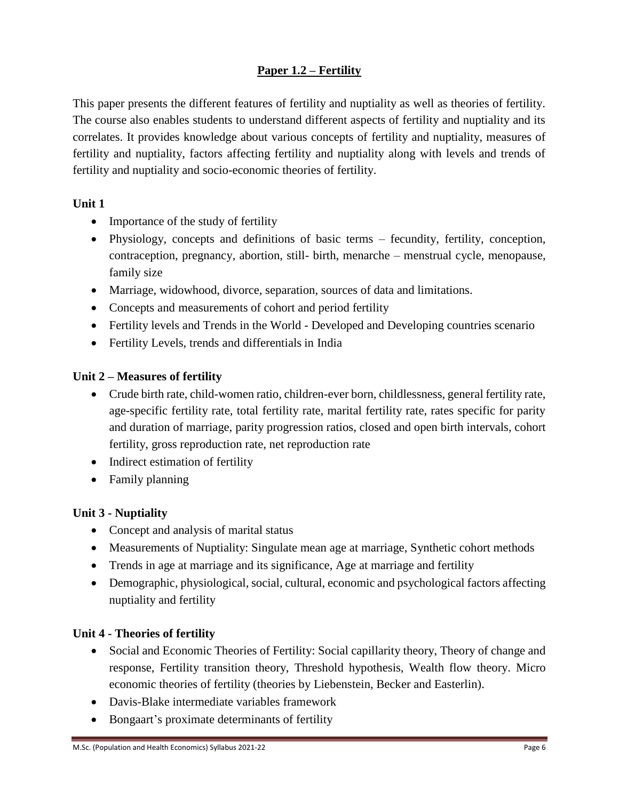## **Paper 1.2 – Fertility**

This paper presents the different features of fertility and nuptiality as well as theories of fertility. The course also enables students to understand different aspects of fertility and nuptiality and its correlates. It provides knowledge about various concepts of fertility and nuptiality, measures of fertility and nuptiality, factors affecting fertility and nuptiality along with levels and trends of fertility and nuptiality and socio-economic theories of fertility.

### **Unit 1**

- Importance of the study of fertility
- Physiology, concepts and definitions of basic terms fecundity, fertility, conception, contraception, pregnancy, abortion, still- birth, menarche – menstrual cycle, menopause, family size
- Marriage, widowhood, divorce, separation, sources of data and limitations.
- Concepts and measurements of cohort and period fertility
- Fertility levels and Trends in the World Developed and Developing countries scenario
- Fertility Levels, trends and differentials in India

## **Unit 2 – Measures of fertility**

- Crude birth rate, child-women ratio, children-ever born, childlessness, general fertility rate, age-specific fertility rate, total fertility rate, marital fertility rate, rates specific for parity and duration of marriage, parity progression ratios, closed and open birth intervals, cohort fertility, gross reproduction rate, net reproduction rate
- Indirect estimation of fertility
- Family planning

## **Unit 3 - Nuptiality**

- Concept and analysis of marital status
- Measurements of Nuptiality: Singulate mean age at marriage, Synthetic cohort methods
- Trends in age at marriage and its significance, Age at marriage and fertility
- Demographic, physiological, social, cultural, economic and psychological factors affecting nuptiality and fertility

### **Unit 4 - Theories of fertility**

- Social and Economic Theories of Fertility: Social capillarity theory, Theory of change and response, Fertility transition theory, Threshold hypothesis, Wealth flow theory. Micro economic theories of fertility (theories by Liebenstein, Becker and Easterlin).
- Davis-Blake intermediate variables framework
- Bongaart's proximate determinants of fertility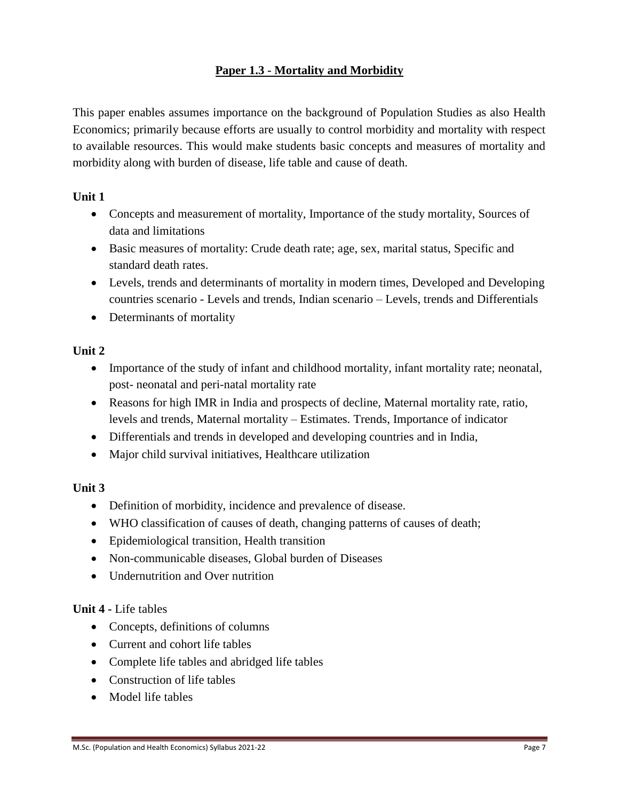## **Paper 1.3 - Mortality and Morbidity**

This paper enables assumes importance on the background of Population Studies as also Health Economics; primarily because efforts are usually to control morbidity and mortality with respect to available resources. This would make students basic concepts and measures of mortality and morbidity along with burden of disease, life table and cause of death.

### **Unit 1**

- Concepts and measurement of mortality, Importance of the study mortality, Sources of data and limitations
- Basic measures of mortality: Crude death rate; age, sex, marital status, Specific and standard death rates.
- Levels, trends and determinants of mortality in modern times, Developed and Developing countries scenario - Levels and trends, Indian scenario – Levels, trends and Differentials
- Determinants of mortality

## **Unit 2**

- Importance of the study of infant and childhood mortality, infant mortality rate; neonatal, post- neonatal and peri-natal mortality rate
- Reasons for high IMR in India and prospects of decline, Maternal mortality rate, ratio, levels and trends, Maternal mortality – Estimates. Trends, Importance of indicator
- Differentials and trends in developed and developing countries and in India,
- Major child survival initiatives, Healthcare utilization

## **Unit 3**

- Definition of morbidity, incidence and prevalence of disease.
- WHO classification of causes of death, changing patterns of causes of death;
- Epidemiological transition, Health transition
- Non-communicable diseases, Global burden of Diseases
- Undernutrition and Over nutrition

## **Unit 4 -** Life tables

- Concepts, definitions of columns
- Current and cohort life tables
- Complete life tables and abridged life tables
- Construction of life tables
- Model life tables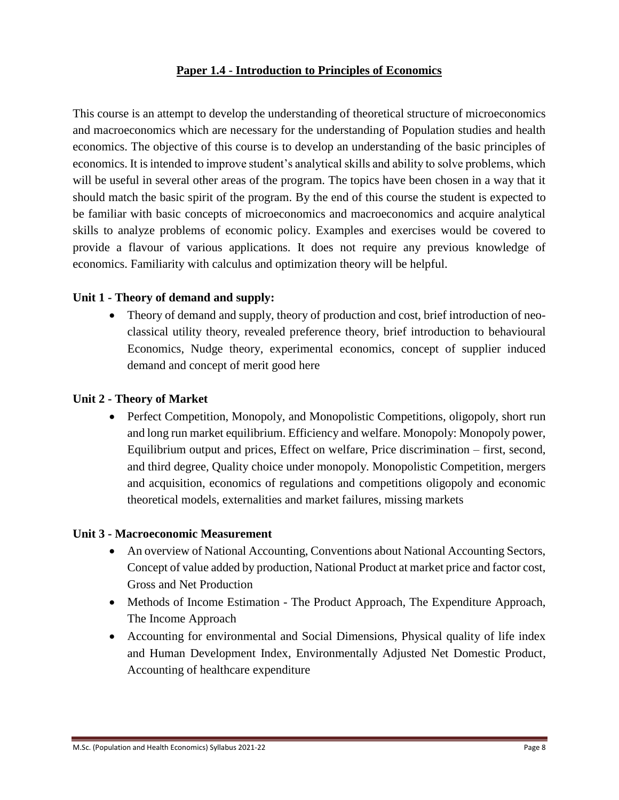### **Paper 1.4 - Introduction to Principles of Economics**

This course is an attempt to develop the understanding of theoretical structure of microeconomics and macroeconomics which are necessary for the understanding of Population studies and health economics. The objective of this course is to develop an understanding of the basic principles of economics. It is intended to improve student's analytical skills and ability to solve problems, which will be useful in several other areas of the program. The topics have been chosen in a way that it should match the basic spirit of the program. By the end of this course the student is expected to be familiar with basic concepts of microeconomics and macroeconomics and acquire analytical skills to analyze problems of economic policy. Examples and exercises would be covered to provide a flavour of various applications. It does not require any previous knowledge of economics. Familiarity with calculus and optimization theory will be helpful.

#### **Unit 1 - Theory of demand and supply:**

 Theory of demand and supply, theory of production and cost, brief introduction of neoclassical utility theory, revealed preference theory, brief introduction to behavioural Economics, Nudge theory, experimental economics, concept of supplier induced demand and concept of merit good here

#### **Unit 2 - Theory of Market**

• Perfect Competition, Monopoly, and Monopolistic Competitions, oligopoly, short run and long run market equilibrium. Efficiency and welfare. Monopoly: Monopoly power, Equilibrium output and prices, Effect on welfare, Price discrimination – first, second, and third degree, Quality choice under monopoly. Monopolistic Competition, mergers and acquisition, economics of regulations and competitions oligopoly and economic theoretical models, externalities and market failures, missing markets

#### **Unit 3 - Macroeconomic Measurement**

- An overview of National Accounting, Conventions about National Accounting Sectors, Concept of value added by production, National Product at market price and factor cost, Gross and Net Production
- Methods of Income Estimation The Product Approach, The Expenditure Approach, The Income Approach
- Accounting for environmental and Social Dimensions, Physical quality of life index and Human Development Index, Environmentally Adjusted Net Domestic Product, Accounting of healthcare expenditure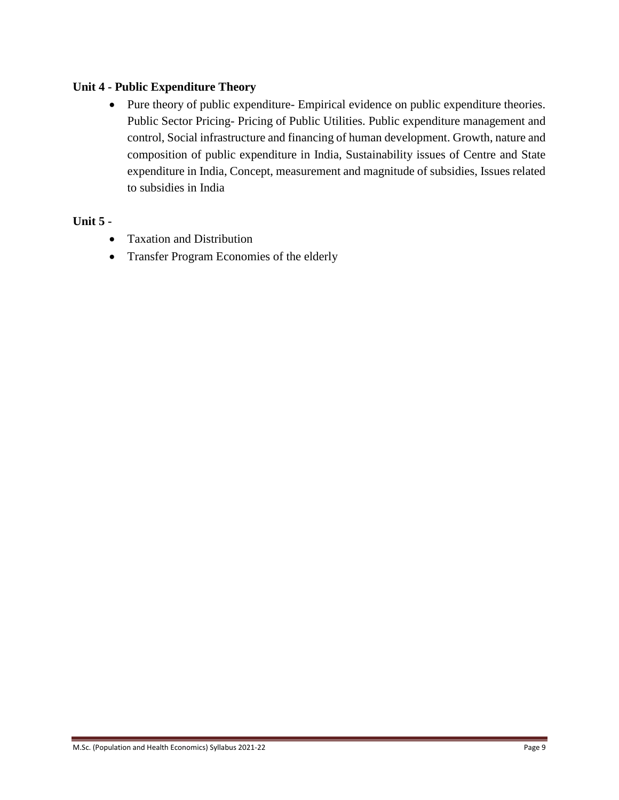### **Unit 4 - Public Expenditure Theory**

 Pure theory of public expenditure- Empirical evidence on public expenditure theories. Public Sector Pricing- Pricing of Public Utilities. Public expenditure management and control, Social infrastructure and financing of human development. Growth, nature and composition of public expenditure in India, Sustainability issues of Centre and State expenditure in India, Concept, measurement and magnitude of subsidies, Issues related to subsidies in India

#### **Unit 5 -**

- Taxation and Distribution
- Transfer Program Economies of the elderly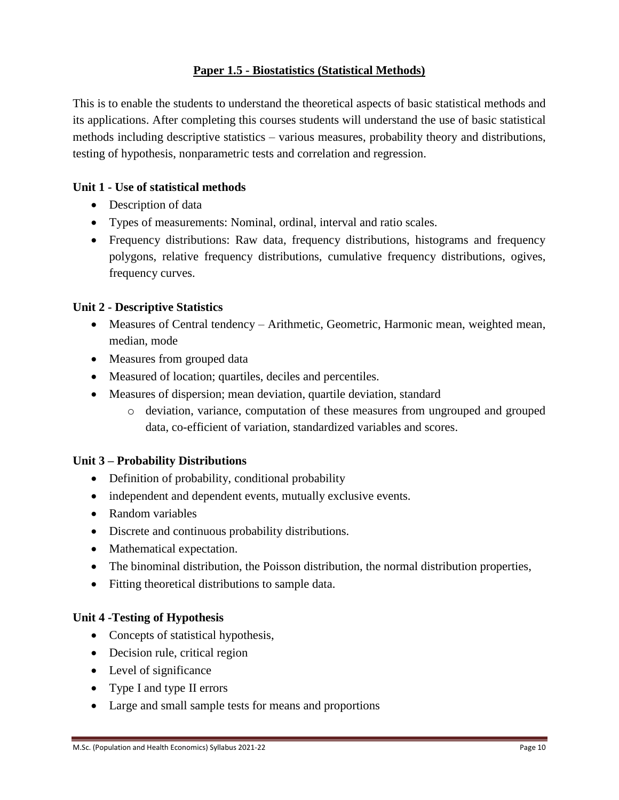### **Paper 1.5 - Biostatistics (Statistical Methods)**

This is to enable the students to understand the theoretical aspects of basic statistical methods and its applications. After completing this courses students will understand the use of basic statistical methods including descriptive statistics – various measures, probability theory and distributions, testing of hypothesis, nonparametric tests and correlation and regression.

### **Unit 1 - Use of statistical methods**

- Description of data
- Types of measurements: Nominal, ordinal, interval and ratio scales.
- Frequency distributions: Raw data, frequency distributions, histograms and frequency polygons, relative frequency distributions, cumulative frequency distributions, ogives, frequency curves.

### **Unit 2 - Descriptive Statistics**

- Measures of Central tendency Arithmetic, Geometric, Harmonic mean, weighted mean, median, mode
- Measures from grouped data
- Measured of location; quartiles, deciles and percentiles.
- Measures of dispersion; mean deviation, quartile deviation, standard
	- o deviation, variance, computation of these measures from ungrouped and grouped data, co-efficient of variation, standardized variables and scores.

### **Unit 3 – Probability Distributions**

- Definition of probability, conditional probability
- independent and dependent events, mutually exclusive events.
- Random variables
- Discrete and continuous probability distributions.
- Mathematical expectation.
- The binominal distribution, the Poisson distribution, the normal distribution properties,
- Fitting theoretical distributions to sample data.

### **Unit 4 -Testing of Hypothesis**

- Concepts of statistical hypothesis,
- Decision rule, critical region
- Level of significance
- Type I and type II errors
- Large and small sample tests for means and proportions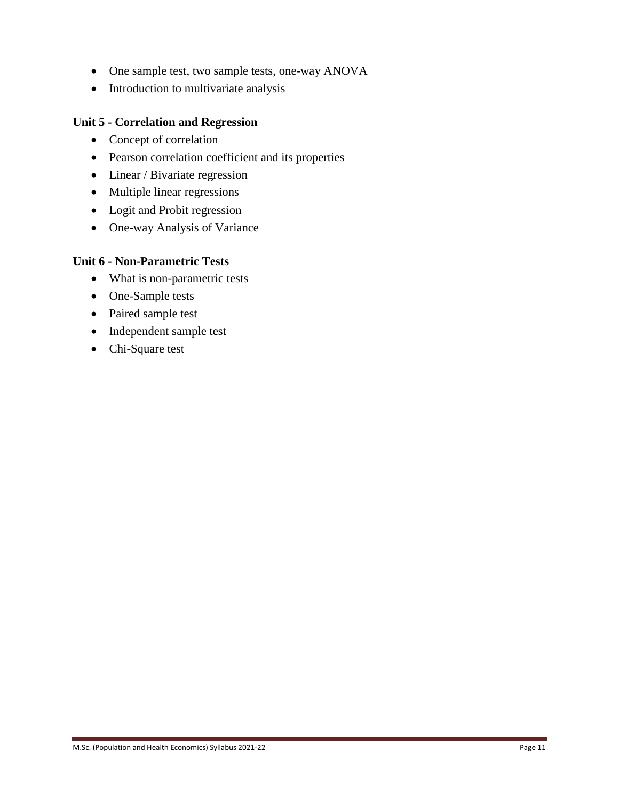- One sample test, two sample tests, one-way ANOVA
- Introduction to multivariate analysis

### **Unit 5 - Correlation and Regression**

- Concept of correlation
- Pearson correlation coefficient and its properties
- Linear / Bivariate regression
- Multiple linear regressions
- Logit and Probit regression
- One-way Analysis of Variance

#### **Unit 6 - Non-Parametric Tests**

- What is non-parametric tests
- One-Sample tests
- Paired sample test
- Independent sample test
- Chi-Square test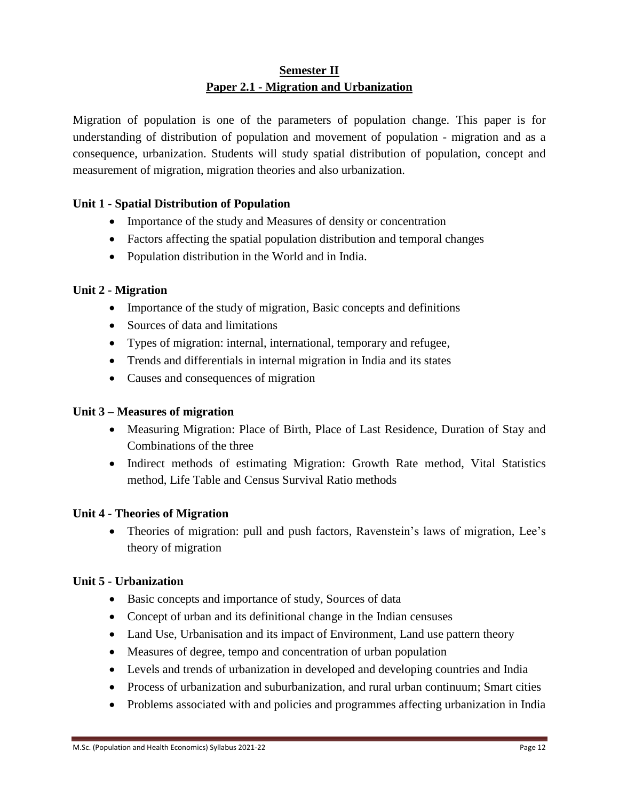## **Semester II Paper 2.1 - Migration and Urbanization**

Migration of population is one of the parameters of population change. This paper is for understanding of distribution of population and movement of population - migration and as a consequence, urbanization. Students will study spatial distribution of population, concept and measurement of migration, migration theories and also urbanization.

## **Unit 1 - Spatial Distribution of Population**

- Importance of the study and Measures of density or concentration
- Factors affecting the spatial population distribution and temporal changes
- Population distribution in the World and in India.

### **Unit 2 - Migration**

- Importance of the study of migration, Basic concepts and definitions
- Sources of data and limitations
- Types of migration: internal, international, temporary and refugee,
- Trends and differentials in internal migration in India and its states
- Causes and consequences of migration

### **Unit 3 – Measures of migration**

- Measuring Migration: Place of Birth, Place of Last Residence, Duration of Stay and Combinations of the three
- Indirect methods of estimating Migration: Growth Rate method, Vital Statistics method, Life Table and Census Survival Ratio methods

### **Unit 4 - Theories of Migration**

 Theories of migration: pull and push factors, Ravenstein's laws of migration, Lee's theory of migration

### **Unit 5 - Urbanization**

- Basic concepts and importance of study, Sources of data
- Concept of urban and its definitional change in the Indian censuses
- Land Use, Urbanisation and its impact of Environment, Land use pattern theory
- Measures of degree, tempo and concentration of urban population
- Levels and trends of urbanization in developed and developing countries and India
- Process of urbanization and suburbanization, and rural urban continuum; Smart cities
- Problems associated with and policies and programmes affecting urbanization in India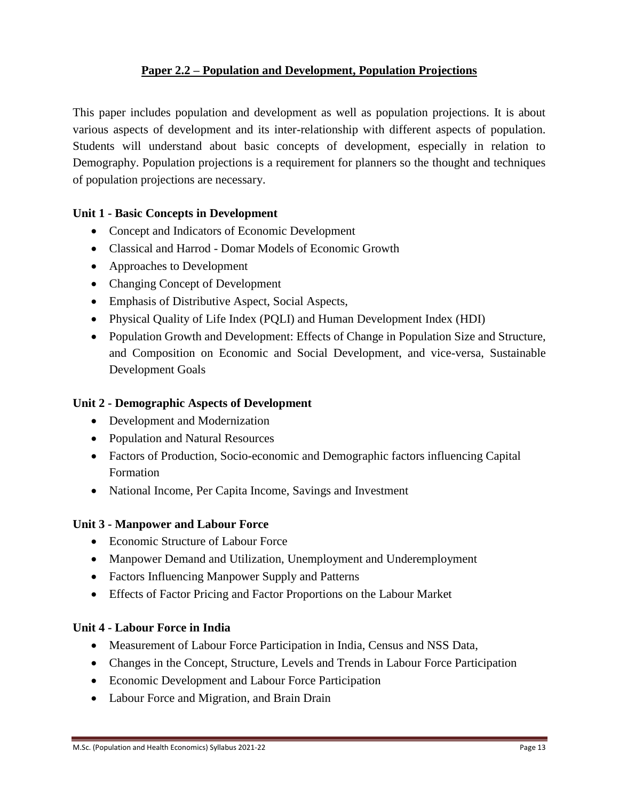## **Paper 2.2 – Population and Development, Population Projections**

This paper includes population and development as well as population projections. It is about various aspects of development and its inter-relationship with different aspects of population. Students will understand about basic concepts of development, especially in relation to Demography. Population projections is a requirement for planners so the thought and techniques of population projections are necessary.

#### **Unit 1 - Basic Concepts in Development**

- Concept and Indicators of Economic Development
- Classical and Harrod Domar Models of Economic Growth
- Approaches to Development
- Changing Concept of Development
- Emphasis of Distributive Aspect, Social Aspects,
- Physical Quality of Life Index (PQLI) and Human Development Index (HDI)
- Population Growth and Development: Effects of Change in Population Size and Structure, and Composition on Economic and Social Development, and vice-versa, Sustainable Development Goals

#### **Unit 2 - Demographic Aspects of Development**

- Development and Modernization
- Population and Natural Resources
- Factors of Production, Socio-economic and Demographic factors influencing Capital Formation
- National Income, Per Capita Income, Savings and Investment

#### **Unit 3 - Manpower and Labour Force**

- Economic Structure of Labour Force
- Manpower Demand and Utilization, Unemployment and Underemployment
- Factors Influencing Manpower Supply and Patterns
- Effects of Factor Pricing and Factor Proportions on the Labour Market

#### **Unit 4 - Labour Force in India**

- Measurement of Labour Force Participation in India, Census and NSS Data,
- Changes in the Concept, Structure, Levels and Trends in Labour Force Participation
- Economic Development and Labour Force Participation
- Labour Force and Migration, and Brain Drain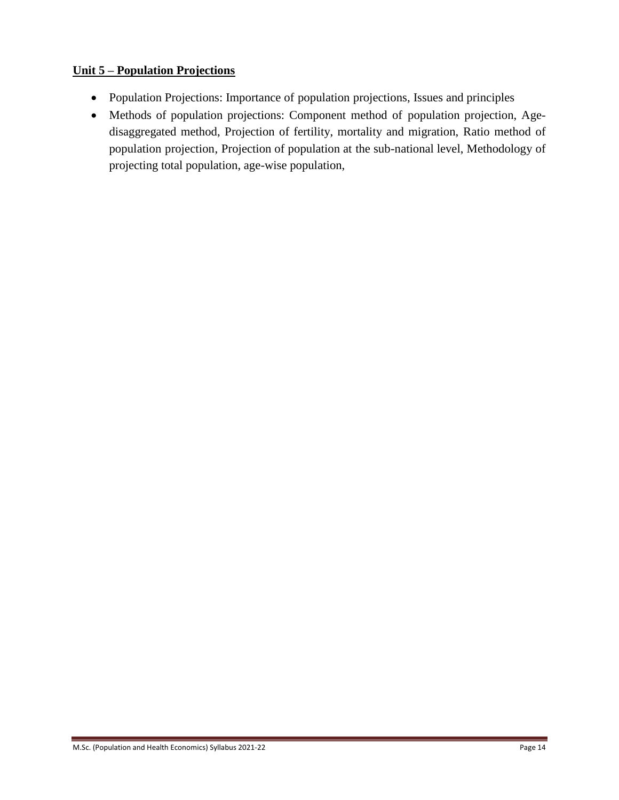## **Unit 5 – Population Projections**

- Population Projections: Importance of population projections, Issues and principles
- Methods of population projections: Component method of population projection, Agedisaggregated method, Projection of fertility, mortality and migration, Ratio method of population projection, Projection of population at the sub-national level, Methodology of projecting total population, age-wise population,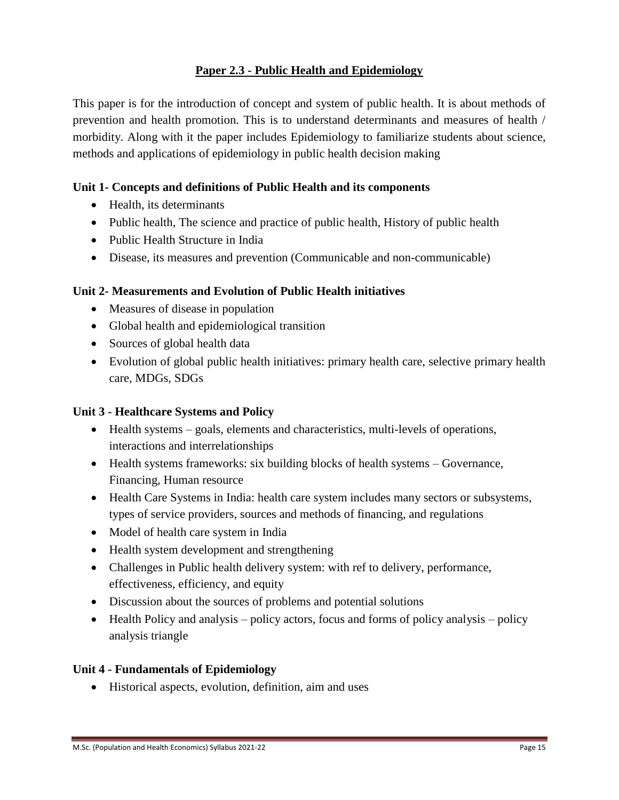## **Paper 2.3 - Public Health and Epidemiology**

This paper is for the introduction of concept and system of public health. It is about methods of prevention and health promotion. This is to understand determinants and measures of health / morbidity. Along with it the paper includes Epidemiology to familiarize students about science, methods and applications of epidemiology in public health decision making

### **Unit 1- Concepts and definitions of Public Health and its components**

- Health, its determinants
- Public health, The science and practice of public health, History of public health
- Public Health Structure in India
- Disease, its measures and prevention (Communicable and non-communicable)

### **Unit 2- Measurements and Evolution of Public Health initiatives**

- Measures of disease in population
- Global health and epidemiological transition
- Sources of global health data
- Evolution of global public health initiatives: primary health care, selective primary health care, MDGs, SDGs

### **Unit 3 - Healthcare Systems and Policy**

- Health systems goals, elements and characteristics, multi-levels of operations, interactions and interrelationships
- Health systems frameworks: six building blocks of health systems Governance, Financing, Human resource
- Health Care Systems in India: health care system includes many sectors or subsystems, types of service providers, sources and methods of financing, and regulations
- Model of health care system in India
- Health system development and strengthening
- Challenges in Public health delivery system: with ref to delivery, performance, effectiveness, efficiency, and equity
- Discussion about the sources of problems and potential solutions
- $\bullet$  Health Policy and analysis policy actors, focus and forms of policy analysis policy analysis triangle

#### **Unit 4 - Fundamentals of Epidemiology**

Historical aspects, evolution, definition, aim and uses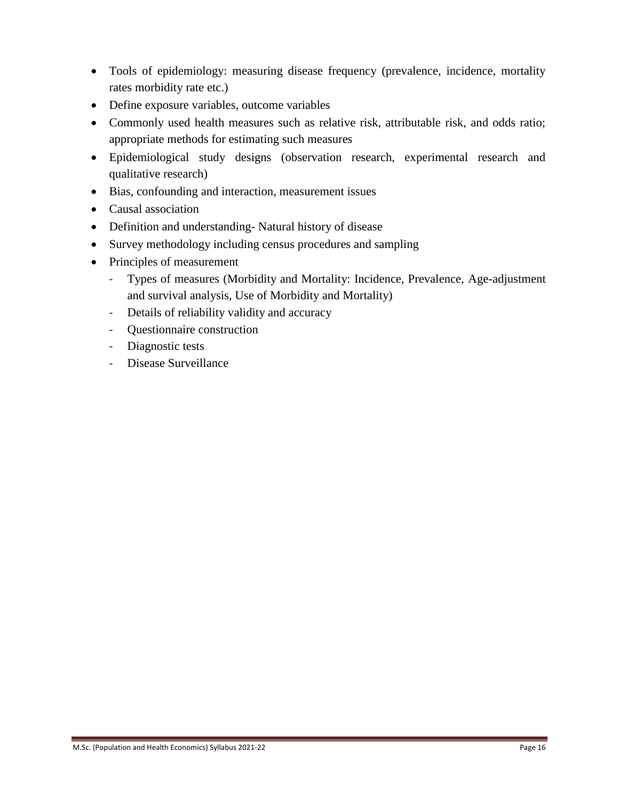- Tools of epidemiology: measuring disease frequency (prevalence, incidence, mortality rates morbidity rate etc.)
- Define exposure variables, outcome variables
- Commonly used health measures such as relative risk, attributable risk, and odds ratio; appropriate methods for estimating such measures
- Epidemiological study designs (observation research, experimental research and qualitative research)
- Bias, confounding and interaction, measurement issues
- Causal association
- Definition and understanding- Natural history of disease
- Survey methodology including census procedures and sampling
- Principles of measurement
	- Types of measures (Morbidity and Mortality: Incidence, Prevalence, Age-adjustment and survival analysis, Use of Morbidity and Mortality)
	- Details of reliability validity and accuracy
	- Questionnaire construction
	- Diagnostic tests
	- Disease Surveillance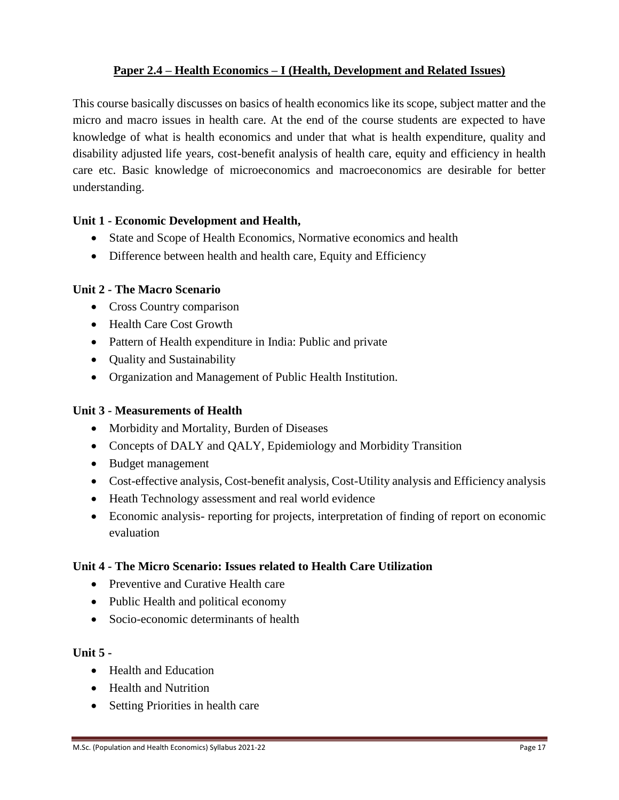## **Paper 2.4 – Health Economics – I (Health, Development and Related Issues)**

This course basically discusses on basics of health economics like its scope, subject matter and the micro and macro issues in health care. At the end of the course students are expected to have knowledge of what is health economics and under that what is health expenditure, quality and disability adjusted life years, cost-benefit analysis of health care, equity and efficiency in health care etc. Basic knowledge of microeconomics and macroeconomics are desirable for better understanding.

#### **Unit 1 - Economic Development and Health,**

- State and Scope of Health Economics, Normative economics and health
- Difference between health and health care, Equity and Efficiency

#### **Unit 2 - The Macro Scenario**

- Cross Country comparison
- Health Care Cost Growth
- Pattern of Health expenditure in India: Public and private
- Quality and Sustainability
- Organization and Management of Public Health Institution.

### **Unit 3 - Measurements of Health**

- Morbidity and Mortality, Burden of Diseases
- Concepts of DALY and QALY, Epidemiology and Morbidity Transition
- Budget management
- Cost-effective analysis, Cost-benefit analysis, Cost-Utility analysis and Efficiency analysis
- Heath Technology assessment and real world evidence
- Economic analysis- reporting for projects, interpretation of finding of report on economic evaluation

### **Unit 4 - The Micro Scenario: Issues related to Health Care Utilization**

- Preventive and Curative Health care
- Public Health and political economy
- Socio-economic determinants of health

#### **Unit 5 -**

- Health and Education
- Health and Nutrition
- Setting Priorities in health care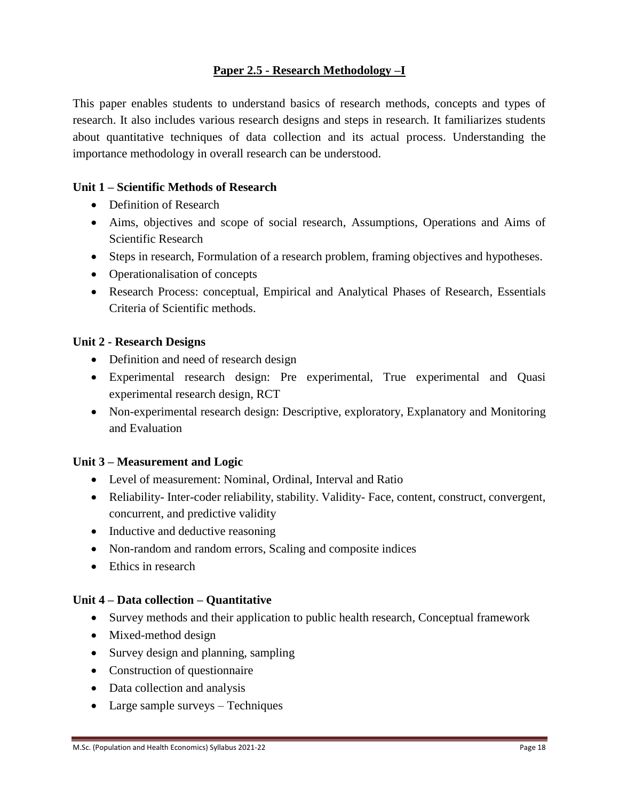## **Paper 2.5 - Research Methodology –I**

This paper enables students to understand basics of research methods, concepts and types of research. It also includes various research designs and steps in research. It familiarizes students about quantitative techniques of data collection and its actual process. Understanding the importance methodology in overall research can be understood.

#### **Unit 1 – Scientific Methods of Research**

- Definition of Research
- Aims, objectives and scope of social research, Assumptions, Operations and Aims of Scientific Research
- Steps in research, Formulation of a research problem, framing objectives and hypotheses.
- Operationalisation of concepts
- Research Process: conceptual, Empirical and Analytical Phases of Research, Essentials Criteria of Scientific methods.

#### **Unit 2 - Research Designs**

- Definition and need of research design
- Experimental research design: Pre experimental, True experimental and Quasi experimental research design, RCT
- Non-experimental research design: Descriptive, exploratory, Explanatory and Monitoring and Evaluation

#### **Unit 3 – Measurement and Logic**

- Level of measurement: Nominal, Ordinal, Interval and Ratio
- Reliability- Inter-coder reliability, stability. Validity- Face, content, construct, convergent, concurrent, and predictive validity
- Inductive and deductive reasoning
- Non-random and random errors, Scaling and composite indices
- Ethics in research

#### **Unit 4 – Data collection – Quantitative**

- Survey methods and their application to public health research, Conceptual framework
- Mixed-method design
- Survey design and planning, sampling
- Construction of questionnaire
- Data collection and analysis
- Large sample surveys Techniques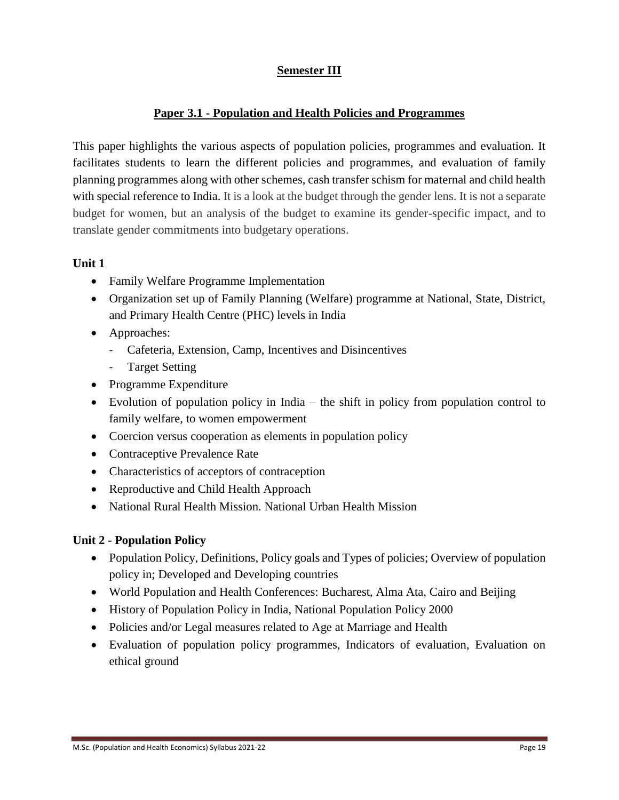## **Semester III**

### **Paper 3.1 - Population and Health Policies and Programmes**

This paper highlights the various aspects of population policies, programmes and evaluation. It facilitates students to learn the different policies and programmes, and evaluation of family planning programmes along with other schemes, cash transfer schism for maternal and child health with special reference to India. It is a look at the budget through the gender lens. It is not a separate budget for women, but an analysis of the budget to examine its gender-specific impact, and to translate gender commitments into budgetary operations.

#### **Unit 1**

- Family Welfare Programme Implementation
- Organization set up of Family Planning (Welfare) programme at National, State, District, and Primary Health Centre (PHC) levels in India
- Approaches:
	- Cafeteria, Extension, Camp, Incentives and Disincentives
	- Target Setting
- Programme Expenditure
- Evolution of population policy in India the shift in policy from population control to family welfare, to women empowerment
- Coercion versus cooperation as elements in population policy
- Contraceptive Prevalence Rate
- Characteristics of acceptors of contraception
- Reproductive and Child Health Approach
- National Rural Health Mission. National Urban Health Mission

### **Unit 2 - Population Policy**

- Population Policy, Definitions, Policy goals and Types of policies; Overview of population policy in; Developed and Developing countries
- World Population and Health Conferences: Bucharest, Alma Ata, Cairo and Beijing
- History of Population Policy in India, National Population Policy 2000
- Policies and/or Legal measures related to Age at Marriage and Health
- Evaluation of population policy programmes, Indicators of evaluation, Evaluation on ethical ground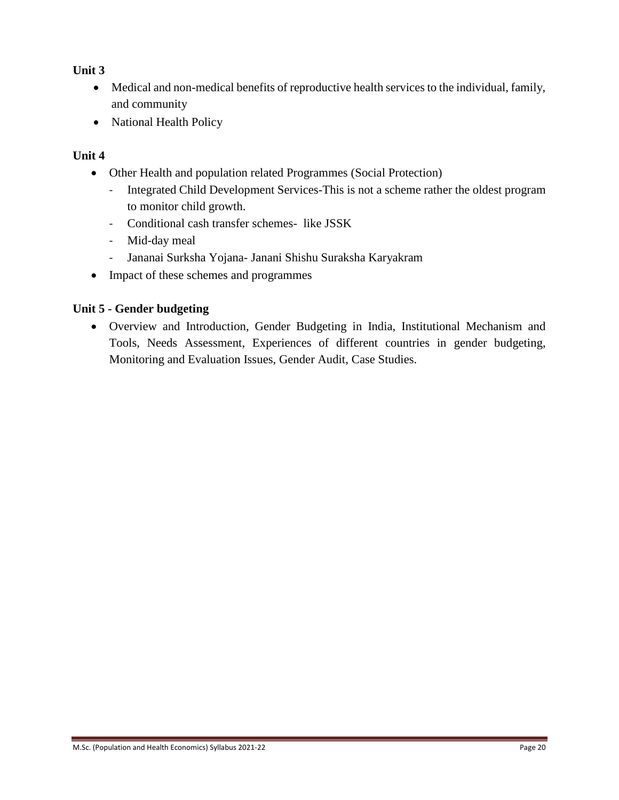### **Unit 3**

- Medical and non-medical benefits of reproductive health services to the individual, family, and community
- National Health Policy

## **Unit 4**

- Other Health and population related Programmes (Social Protection)
	- Integrated Child Development Services-This is not a scheme rather the oldest program to monitor child growth.
	- Conditional cash transfer schemes- like JSSK
	- Mid-day meal
	- Jananai Surksha Yojana- Janani Shishu Suraksha Karyakram
- Impact of these schemes and programmes

### **Unit 5 - Gender budgeting**

 Overview and Introduction, Gender Budgeting in India, Institutional Mechanism and Tools, Needs Assessment, Experiences of different countries in gender budgeting, Monitoring and Evaluation Issues, Gender Audit, Case Studies.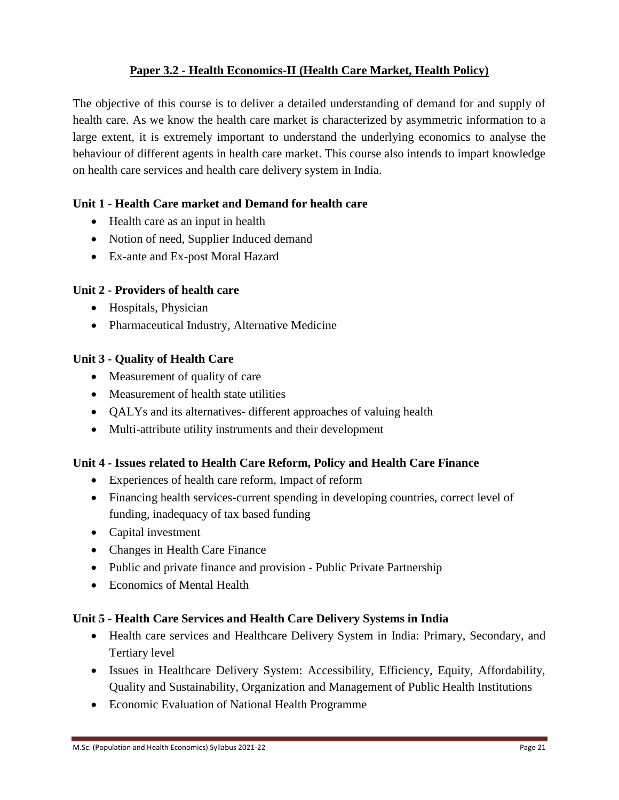## **Paper 3.2 - Health Economics-II (Health Care Market, Health Policy)**

The objective of this course is to deliver a detailed understanding of demand for and supply of health care. As we know the health care market is characterized by asymmetric information to a large extent, it is extremely important to understand the underlying economics to analyse the behaviour of different agents in health care market. This course also intends to impart knowledge on health care services and health care delivery system in India.

### **Unit 1 - Health Care market and Demand for health care**

- Health care as an input in health
- Notion of need, Supplier Induced demand
- Ex-ante and Ex-post Moral Hazard

#### **Unit 2 - Providers of health care**

- Hospitals, Physician
- Pharmaceutical Industry, Alternative Medicine

#### **Unit 3 - Quality of Health Care**

- Measurement of quality of care
- Measurement of health state utilities
- QALYs and its alternatives- different approaches of valuing health
- Multi-attribute utility instruments and their development

#### **Unit 4 - Issues related to Health Care Reform, Policy and Health Care Finance**

- Experiences of health care reform, Impact of reform
- Financing health services-current spending in developing countries, correct level of funding, inadequacy of tax based funding
- Capital investment
- Changes in Health Care Finance
- Public and private finance and provision Public Private Partnership
- Economics of Mental Health

#### **Unit 5 - Health Care Services and Health Care Delivery Systems in India**

- Health care services and Healthcare Delivery System in India: Primary, Secondary, and Tertiary level
- Issues in Healthcare Delivery System: Accessibility, Efficiency, Equity, Affordability, Quality and Sustainability, Organization and Management of Public Health Institutions
- Economic Evaluation of National Health Programme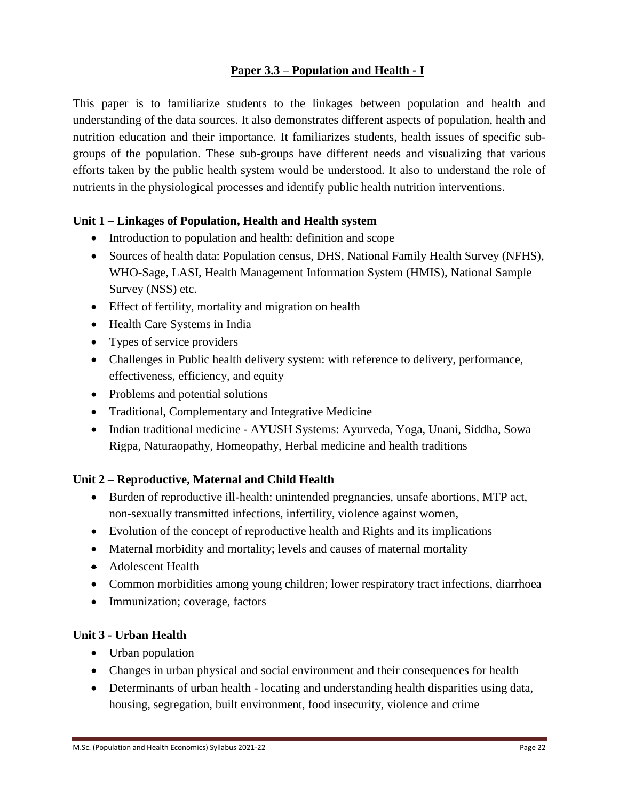## **Paper 3.3 – Population and Health - I**

This paper is to familiarize students to the linkages between population and health and understanding of the data sources. It also demonstrates different aspects of population, health and nutrition education and their importance. It familiarizes students, health issues of specific subgroups of the population. These sub-groups have different needs and visualizing that various efforts taken by the public health system would be understood. It also to understand the role of nutrients in the physiological processes and identify public health nutrition interventions.

#### **Unit 1 – Linkages of Population, Health and Health system**

- Introduction to population and health: definition and scope
- Sources of health data: Population census, DHS, National Family Health Survey (NFHS), WHO-Sage, LASI, Health Management Information System (HMIS), National Sample Survey (NSS) etc.
- Effect of fertility, mortality and migration on health
- Health Care Systems in India
- Types of service providers
- Challenges in Public health delivery system: with reference to delivery, performance, effectiveness, efficiency, and equity
- Problems and potential solutions
- Traditional, Complementary and Integrative Medicine
- Indian traditional medicine AYUSH Systems: Ayurveda, Yoga, Unani, Siddha, Sowa Rigpa, Naturaopathy, Homeopathy, Herbal medicine and health traditions

#### **Unit 2 – Reproductive, Maternal and Child Health**

- Burden of reproductive ill-health: unintended pregnancies, unsafe abortions, MTP act, non-sexually transmitted infections, infertility, violence against women,
- Evolution of the concept of reproductive health and Rights and its implications
- Maternal morbidity and mortality; levels and causes of maternal mortality
- Adolescent Health
- Common morbidities among young children; lower respiratory tract infections, diarrhoea
- Immunization; coverage, factors

#### **Unit 3 - Urban Health**

- Urban population
- Changes in urban physical and social environment and their consequences for health
- Determinants of urban health locating and understanding health disparities using data, housing, segregation, built environment, food insecurity, violence and crime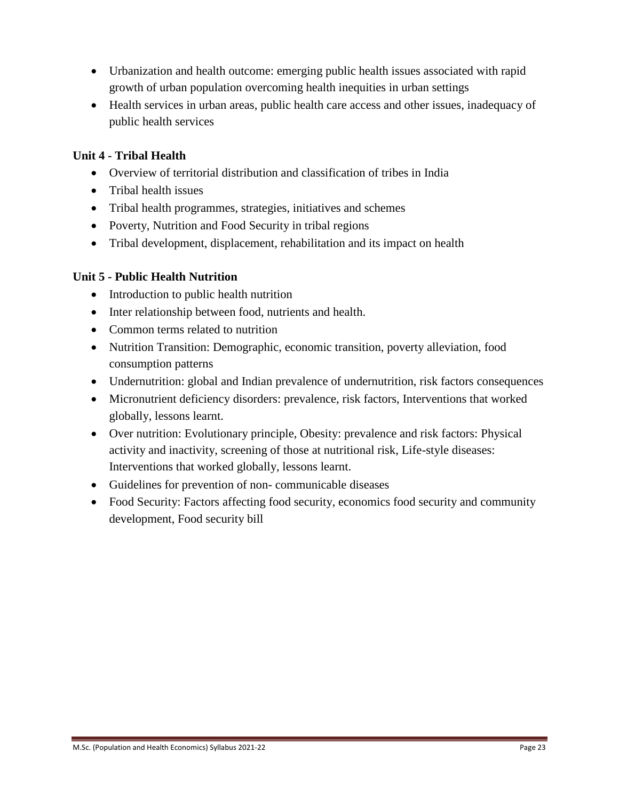- Urbanization and health outcome: emerging public health issues associated with rapid growth of urban population overcoming health inequities in urban settings
- Health services in urban areas, public health care access and other issues, inadequacy of public health services

## **Unit 4 - Tribal Health**

- Overview of territorial distribution and classification of tribes in India
- Tribal health issues
- Tribal health programmes, strategies, initiatives and schemes
- Poverty, Nutrition and Food Security in tribal regions
- Tribal development, displacement, rehabilitation and its impact on health

### **Unit 5 - Public Health Nutrition**

- Introduction to public health nutrition
- Inter relationship between food, nutrients and health.
- Common terms related to nutrition
- Nutrition Transition: Demographic, economic transition, poverty alleviation, food consumption patterns
- Undernutrition: global and Indian prevalence of undernutrition, risk factors consequences
- Micronutrient deficiency disorders: prevalence, risk factors, Interventions that worked globally, lessons learnt.
- Over nutrition: Evolutionary principle, Obesity: prevalence and risk factors: Physical activity and inactivity, screening of those at nutritional risk, Life-style diseases: Interventions that worked globally, lessons learnt.
- Guidelines for prevention of non- communicable diseases
- Food Security: Factors affecting food security, economics food security and community development, Food security bill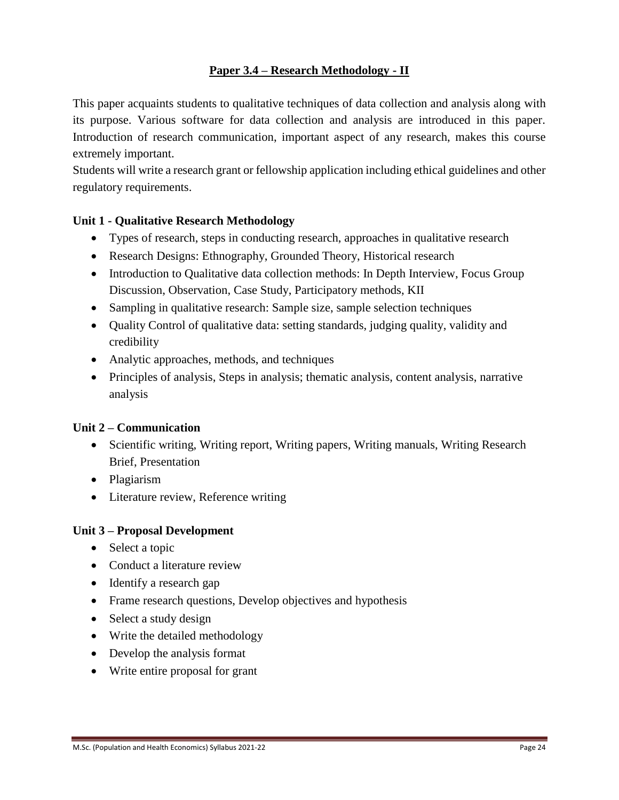## **Paper 3.4 – Research Methodology - II**

This paper acquaints students to qualitative techniques of data collection and analysis along with its purpose. Various software for data collection and analysis are introduced in this paper. Introduction of research communication, important aspect of any research, makes this course extremely important.

Students will write a research grant or fellowship application including ethical guidelines and other regulatory requirements.

### **Unit 1 - Qualitative Research Methodology**

- Types of research, steps in conducting research, approaches in qualitative research
- Research Designs: Ethnography, Grounded Theory, Historical research
- Introduction to Qualitative data collection methods: In Depth Interview, Focus Group Discussion, Observation, Case Study, Participatory methods, KII
- Sampling in qualitative research: Sample size, sample selection techniques
- Quality Control of qualitative data: setting standards, judging quality, validity and credibility
- Analytic approaches, methods, and techniques
- Principles of analysis, Steps in analysis; thematic analysis, content analysis, narrative analysis

### **Unit 2 – Communication**

- Scientific writing, Writing report, Writing papers, Writing manuals, Writing Research Brief, Presentation
- Plagiarism
- Literature review, Reference writing

### **Unit 3 – Proposal Development**

- Select a topic
- Conduct a literature review
- Identify a research gap
- Frame research questions, Develop objectives and hypothesis
- Select a study design
- Write the detailed methodology
- Develop the analysis format
- Write entire proposal for grant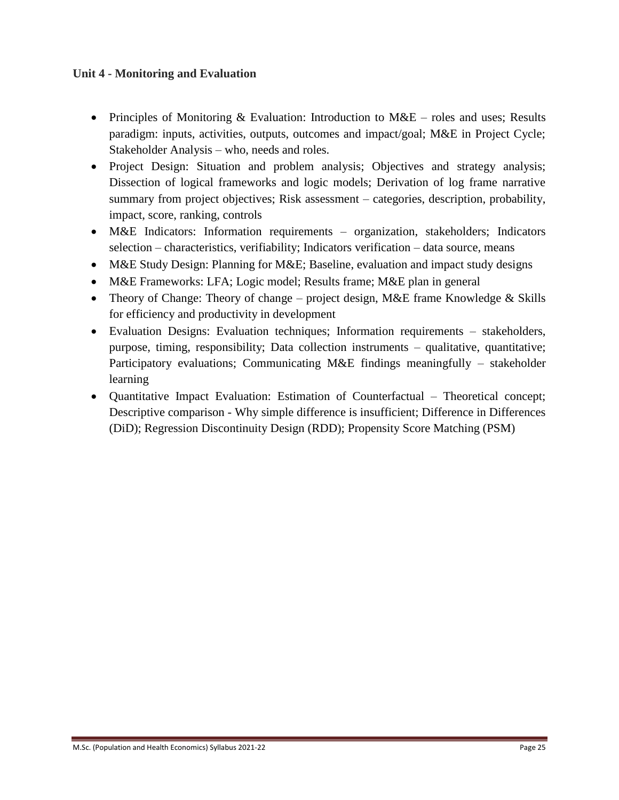#### **Unit 4 - Monitoring and Evaluation**

- Principles of Monitoring & Evaluation: Introduction to  $MAE$  roles and uses; Results paradigm: inputs, activities, outputs, outcomes and impact/goal; M&E in Project Cycle; Stakeholder Analysis – who, needs and roles.
- Project Design: Situation and problem analysis; Objectives and strategy analysis; Dissection of logical frameworks and logic models; Derivation of log frame narrative summary from project objectives; Risk assessment – categories, description, probability, impact, score, ranking, controls
- M&E Indicators: Information requirements organization, stakeholders; Indicators selection – characteristics, verifiability; Indicators verification – data source, means
- M&E Study Design: Planning for M&E; Baseline, evaluation and impact study designs
- M&E Frameworks: LFA; Logic model; Results frame; M&E plan in general
- Theory of Change: Theory of change project design, M&E frame Knowledge  $&$  Skills for efficiency and productivity in development
- Evaluation Designs: Evaluation techniques; Information requirements stakeholders, purpose, timing, responsibility; Data collection instruments – qualitative, quantitative; Participatory evaluations; Communicating M&E findings meaningfully – stakeholder learning
- Quantitative Impact Evaluation: Estimation of Counterfactual Theoretical concept; Descriptive comparison - Why simple difference is insufficient; Difference in Differences (DiD); Regression Discontinuity Design (RDD); Propensity Score Matching (PSM)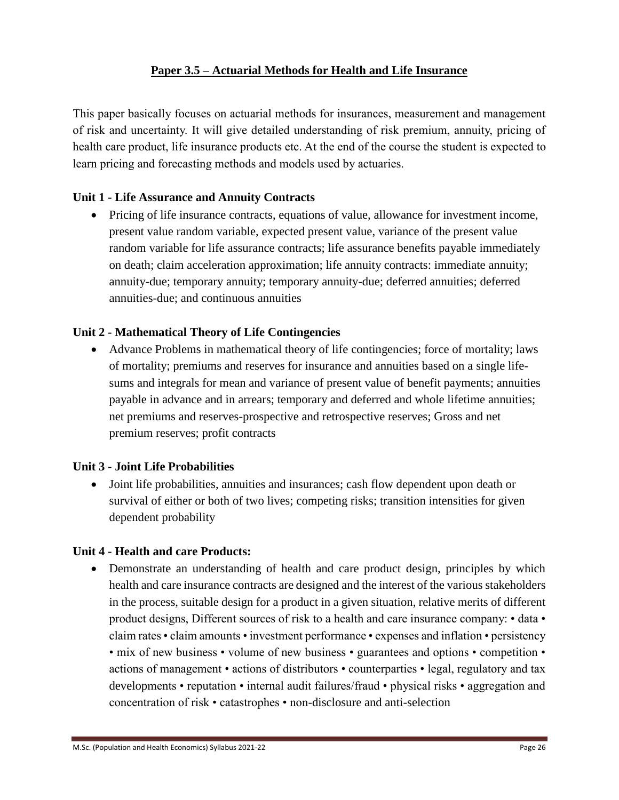### **Paper 3.5 – Actuarial Methods for Health and Life Insurance**

This paper basically focuses on actuarial methods for insurances, measurement and management of risk and uncertainty. It will give detailed understanding of risk premium, annuity, pricing of health care product, life insurance products etc. At the end of the course the student is expected to learn pricing and forecasting methods and models used by actuaries.

#### **Unit 1 - Life Assurance and Annuity Contracts**

• Pricing of life insurance contracts, equations of value, allowance for investment income, present value random variable, expected present value, variance of the present value random variable for life assurance contracts; life assurance benefits payable immediately on death; claim acceleration approximation; life annuity contracts: immediate annuity; annuity-due; temporary annuity; temporary annuity-due; deferred annuities; deferred annuities-due; and continuous annuities

#### **Unit 2 - Mathematical Theory of Life Contingencies**

 Advance Problems in mathematical theory of life contingencies; force of mortality; laws of mortality; premiums and reserves for insurance and annuities based on a single lifesums and integrals for mean and variance of present value of benefit payments; annuities payable in advance and in arrears; temporary and deferred and whole lifetime annuities; net premiums and reserves-prospective and retrospective reserves; Gross and net premium reserves; profit contracts

#### **Unit 3 - Joint Life Probabilities**

 Joint life probabilities, annuities and insurances; cash flow dependent upon death or survival of either or both of two lives; competing risks; transition intensities for given dependent probability

#### **Unit 4 - Health and care Products:**

 Demonstrate an understanding of health and care product design, principles by which health and care insurance contracts are designed and the interest of the various stakeholders in the process, suitable design for a product in a given situation, relative merits of different product designs, Different sources of risk to a health and care insurance company: • data • claim rates • claim amounts • investment performance • expenses and inflation • persistency • mix of new business • volume of new business • guarantees and options • competition • actions of management • actions of distributors • counterparties • legal, regulatory and tax developments • reputation • internal audit failures/fraud • physical risks • aggregation and concentration of risk • catastrophes • non-disclosure and anti-selection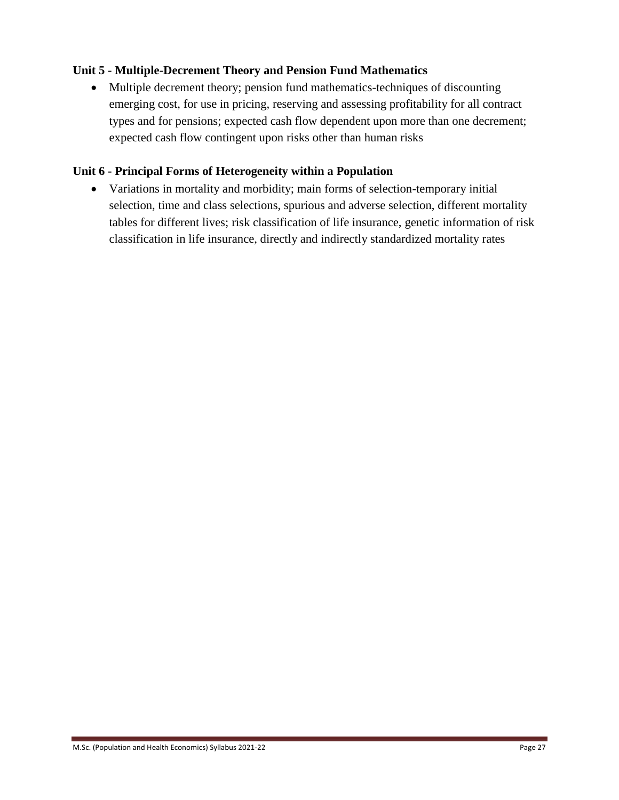## **Unit 5 - Multiple-Decrement Theory and Pension Fund Mathematics**

 Multiple decrement theory; pension fund mathematics-techniques of discounting emerging cost, for use in pricing, reserving and assessing profitability for all contract types and for pensions; expected cash flow dependent upon more than one decrement; expected cash flow contingent upon risks other than human risks

### **Unit 6 - Principal Forms of Heterogeneity within a Population**

 Variations in mortality and morbidity; main forms of selection-temporary initial selection, time and class selections, spurious and adverse selection, different mortality tables for different lives; risk classification of life insurance, genetic information of risk classification in life insurance, directly and indirectly standardized mortality rates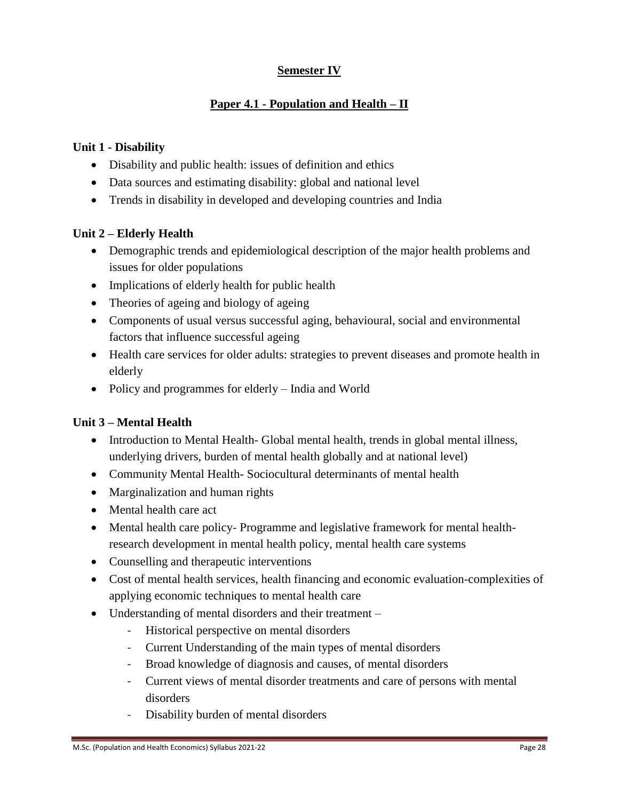## **Semester IV**

## **Paper 4.1 - Population and Health – II**

#### **Unit 1 - Disability**

- Disability and public health: issues of definition and ethics
- Data sources and estimating disability: global and national level
- Trends in disability in developed and developing countries and India

#### **Unit 2 – Elderly Health**

- Demographic trends and epidemiological description of the major health problems and issues for older populations
- Implications of elderly health for public health
- Theories of ageing and biology of ageing
- Components of usual versus successful aging, behavioural, social and environmental factors that influence successful ageing
- Health care services for older adults: strategies to prevent diseases and promote health in elderly
- Policy and programmes for elderly India and World

### **Unit 3 – Mental Health**

- Introduction to Mental Health- Global mental health, trends in global mental illness, underlying drivers, burden of mental health globally and at national level)
- Community Mental Health-Sociocultural determinants of mental health
- Marginalization and human rights
- Mental health care act
- Mental health care policy- Programme and legislative framework for mental healthresearch development in mental health policy, mental health care systems
- Counselling and therapeutic interventions
- Cost of mental health services, health financing and economic evaluation-complexities of applying economic techniques to mental health care
- Understanding of mental disorders and their treatment
	- Historical perspective on mental disorders
	- Current Understanding of the main types of mental disorders
	- Broad knowledge of diagnosis and causes, of mental disorders
	- Current views of mental disorder treatments and care of persons with mental disorders
	- Disability burden of mental disorders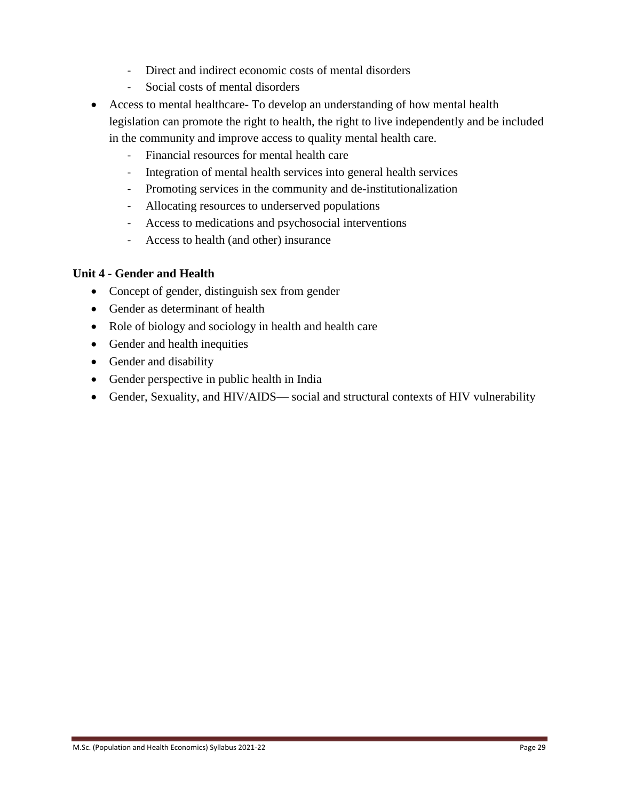- Direct and indirect economic costs of mental disorders
- Social costs of mental disorders
- Access to mental healthcare- To develop an understanding of how mental health legislation can promote the right to health, the right to live independently and be included in the community and improve access to quality mental health care.
	- Financial resources for mental health care
	- Integration of mental health services into general health services
	- Promoting services in the community and de-institutionalization
	- Allocating resources to underserved populations
	- Access to medications and psychosocial interventions
	- Access to health (and other) insurance

### **Unit 4 - Gender and Health**

- Concept of gender, distinguish sex from gender
- Gender as determinant of health
- Role of biology and sociology in health and health care
- Gender and health inequities
- Gender and disability
- Gender perspective in public health in India
- Gender, Sexuality, and HIV/AIDS— social and structural contexts of HIV vulnerability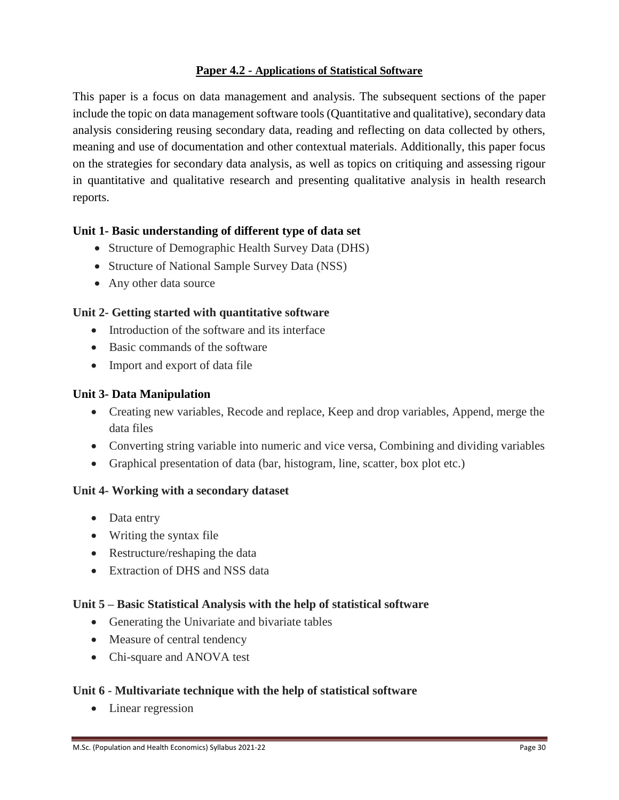#### **Paper 4.2 - Applications of Statistical Software**

This paper is a focus on data management and analysis. The subsequent sections of the paper include the topic on data management software tools (Quantitative and qualitative), secondary data analysis considering reusing secondary data, reading and reflecting on data collected by others, meaning and use of documentation and other contextual materials. Additionally, this paper focus on the strategies for secondary data analysis, as well as topics on critiquing and assessing rigour in quantitative and qualitative research and presenting qualitative analysis in health research reports.

#### **Unit 1- Basic understanding of different type of data set**

- Structure of Demographic Health Survey Data (DHS)
- Structure of National Sample Survey Data (NSS)
- Any other data source

#### **Unit 2- Getting started with quantitative software**

- Introduction of the software and its interface
- Basic commands of the software
- Import and export of data file

#### **Unit 3- Data Manipulation**

- Creating new variables, Recode and replace, Keep and drop variables, Append, merge the data files
- Converting string variable into numeric and vice versa, Combining and dividing variables
- Graphical presentation of data (bar, histogram, line, scatter, box plot etc.)

#### **Unit 4- Working with a secondary dataset**

- Data entry
- Writing the syntax file
- Restructure/reshaping the data
- Extraction of DHS and NSS data

### **Unit 5 – Basic Statistical Analysis with the help of statistical software**

- Generating the Univariate and bivariate tables
- Measure of central tendency
- Chi-square and ANOVA test

### **Unit 6 - Multivariate technique with the help of statistical software**

• Linear regression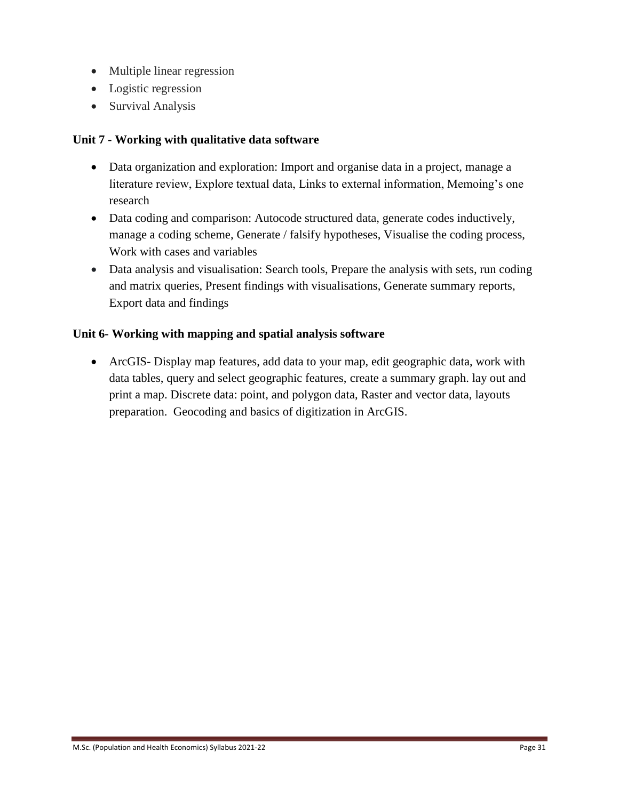- Multiple linear regression
- Logistic regression
- Survival Analysis

### **Unit 7 - Working with qualitative data software**

- Data organization and exploration: Import and organise data in a project, manage a literature review, Explore textual data, Links to external information, Memoing's one research
- Data coding and comparison: Autocode structured data, generate codes inductively, manage a coding scheme, Generate / falsify hypotheses, Visualise the coding process, Work with cases and variables
- Data analysis and visualisation: Search tools, Prepare the analysis with sets, run coding and matrix queries, Present findings with visualisations, Generate summary reports, Export data and findings

### **Unit 6- Working with mapping and spatial analysis software**

 ArcGIS- Display map features, add data to your map, edit geographic data, work with data tables, query and select geographic features, create a summary graph. lay out and print a map. Discrete data: point, and polygon data, Raster and vector data, layouts preparation. Geocoding and basics of digitization in ArcGIS.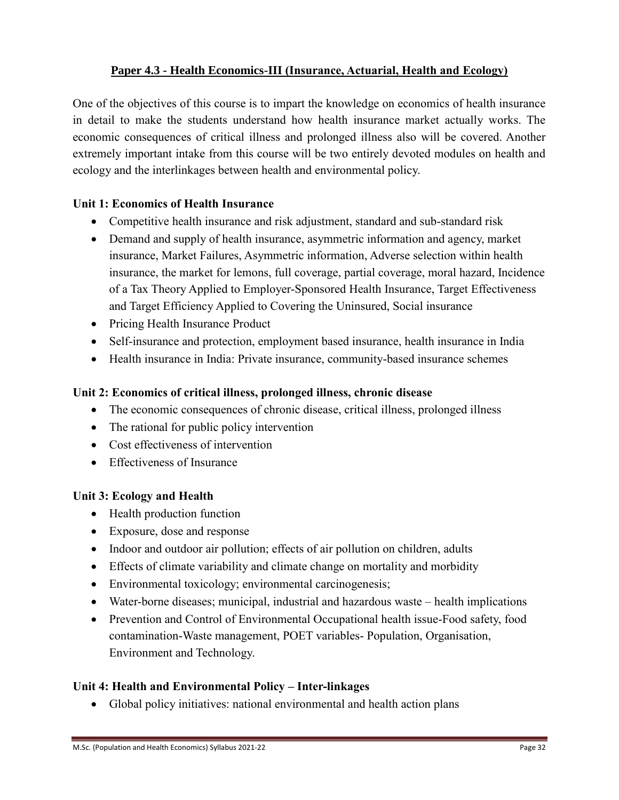## **Paper 4.3 - Health Economics-III (Insurance, Actuarial, Health and Ecology)**

One of the objectives of this course is to impart the knowledge on economics of health insurance in detail to make the students understand how health insurance market actually works. The economic consequences of critical illness and prolonged illness also will be covered. Another extremely important intake from this course will be two entirely devoted modules on health and ecology and the interlinkages between health and environmental policy.

### **Unit 1: Economics of Health Insurance**

- Competitive health insurance and risk adjustment, standard and sub-standard risk
- Demand and supply of health insurance, asymmetric information and agency, market insurance, Market Failures, Asymmetric information, Adverse selection within health insurance, the market for lemons, full coverage, partial coverage, moral hazard, Incidence of a Tax Theory Applied to Employer-Sponsored Health Insurance, Target Effectiveness and Target Efficiency Applied to Covering the Uninsured, Social insurance
- Pricing Health Insurance Product
- Self-insurance and protection, employment based insurance, health insurance in India
- Health insurance in India: Private insurance, community-based insurance schemes

#### **Unit 2: Economics of critical illness, prolonged illness, chronic disease**

- The economic consequences of chronic disease, critical illness, prolonged illness
- The rational for public policy intervention
- Cost effectiveness of intervention
- Effectiveness of Insurance

### **Unit 3: Ecology and Health**

- Health production function
- Exposure, dose and response
- Indoor and outdoor air pollution; effects of air pollution on children, adults
- Effects of climate variability and climate change on mortality and morbidity
- Environmental toxicology; environmental carcinogenesis;
- Water-borne diseases; municipal, industrial and hazardous waste health implications
- Prevention and Control of Environmental Occupational health issue-Food safety, food contamination-Waste management, POET variables- Population, Organisation, Environment and Technology.

### **Unit 4: Health and Environmental Policy – Inter-linkages**

Global policy initiatives: national environmental and health action plans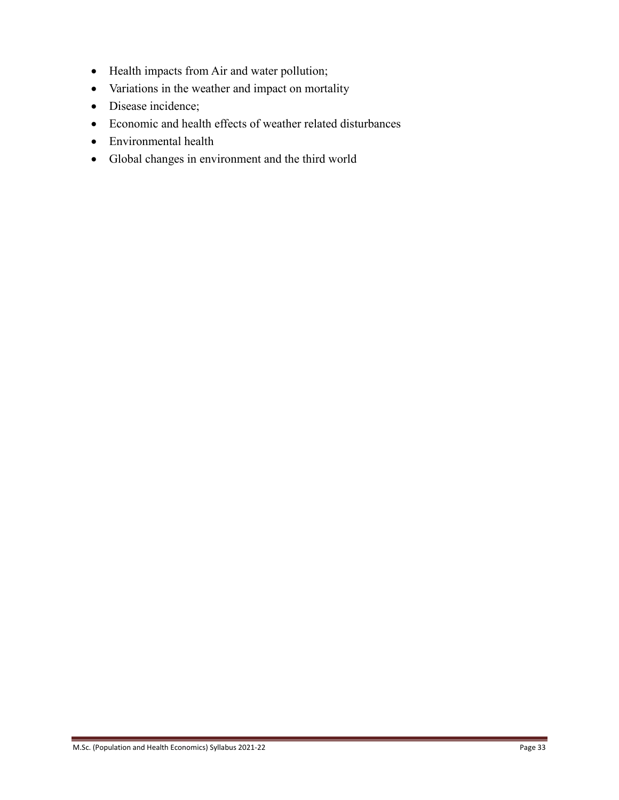- Health impacts from Air and water pollution;
- Variations in the weather and impact on mortality
- Disease incidence;
- Economic and health effects of weather related disturbances
- Environmental health
- Global changes in environment and the third world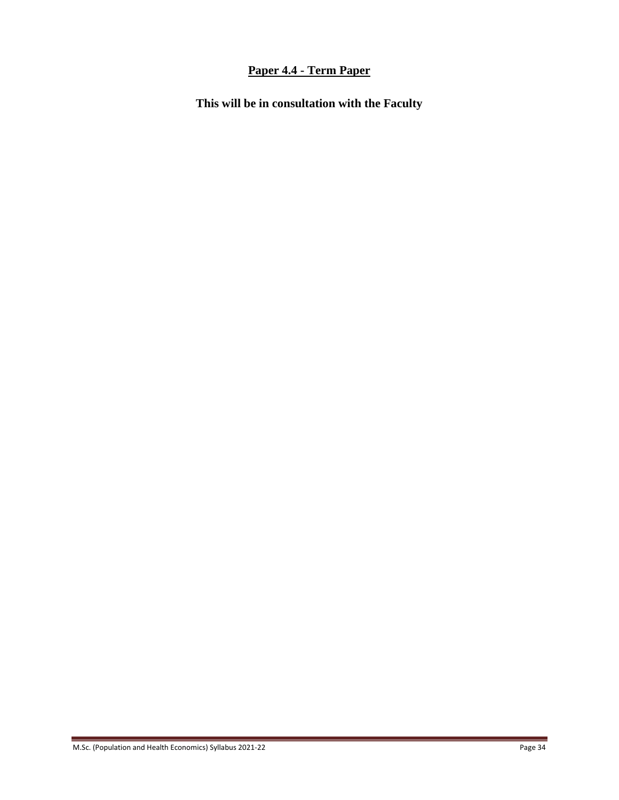# **Paper 4.4 - Term Paper**

**This will be in consultation with the Faculty**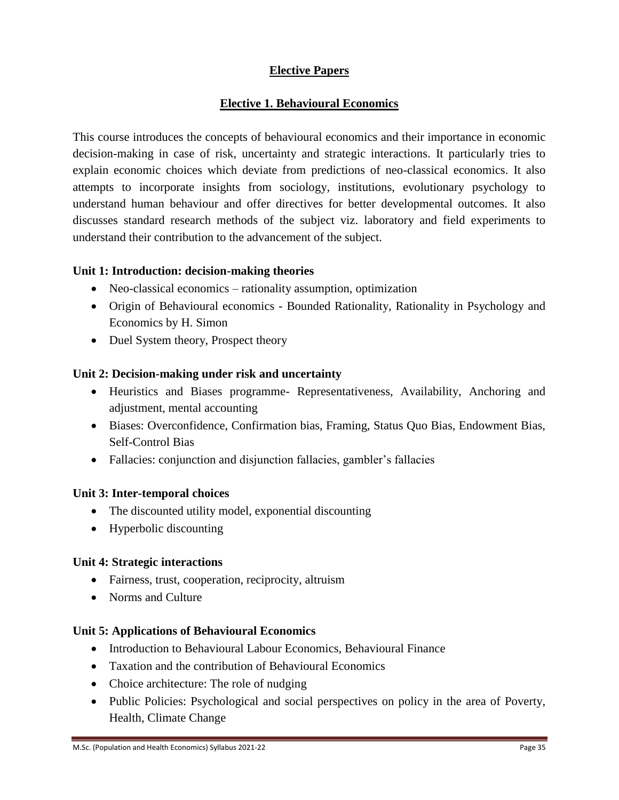## **Elective Papers**

### **Elective 1. Behavioural Economics**

This course introduces the concepts of behavioural economics and their importance in economic decision-making in case of risk, uncertainty and strategic interactions. It particularly tries to explain economic choices which deviate from predictions of neo-classical economics. It also attempts to incorporate insights from sociology, institutions, evolutionary psychology to understand human behaviour and offer directives for better developmental outcomes. It also discusses standard research methods of the subject viz. laboratory and field experiments to understand their contribution to the advancement of the subject.

#### **Unit 1: Introduction: decision-making theories**

- Neo-classical economics rationality assumption, optimization
- Origin of Behavioural economics Bounded Rationality, Rationality in Psychology and Economics by H. Simon
- Duel System theory, Prospect theory

#### **Unit 2: Decision-making under risk and uncertainty**

- Heuristics and Biases programme- Representativeness, Availability, Anchoring and adjustment, mental accounting
- Biases: Overconfidence, Confirmation bias, Framing, Status Quo Bias, Endowment Bias, Self-Control Bias
- Fallacies: conjunction and disjunction fallacies, gambler's fallacies

### **Unit 3: Inter-temporal choices**

- The discounted utility model, exponential discounting
- Hyperbolic discounting

### **Unit 4: Strategic interactions**

- Fairness, trust, cooperation, reciprocity, altruism
- Norms and Culture

#### **Unit 5: Applications of Behavioural Economics**

- Introduction to Behavioural Labour Economics, Behavioural Finance
- Taxation and the contribution of Behavioural Economics
- Choice architecture: The role of nudging
- Public Policies: Psychological and social perspectives on policy in the area of Poverty, Health, Climate Change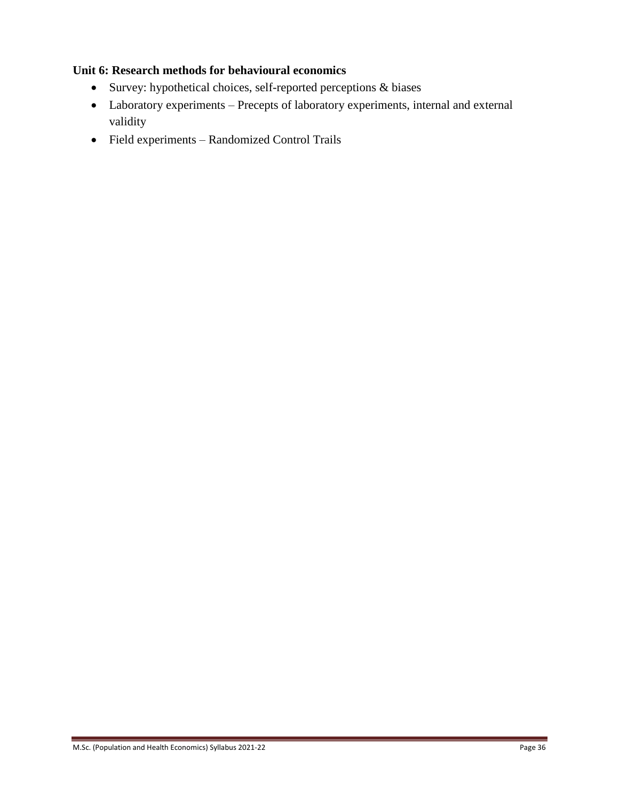## **Unit 6: Research methods for behavioural economics**

- Survey: hypothetical choices, self-reported perceptions & biases
- Laboratory experiments Precepts of laboratory experiments, internal and external validity
- Field experiments Randomized Control Trails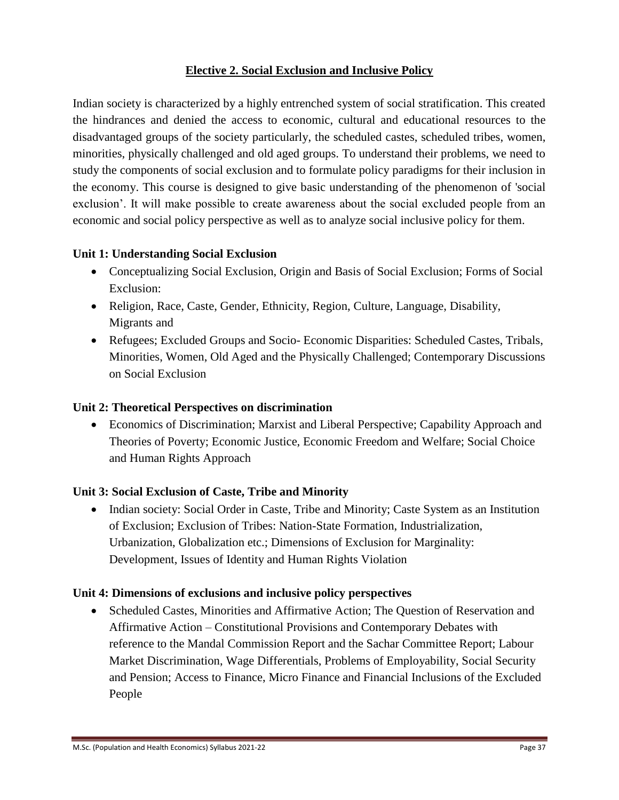### **Elective 2. Social Exclusion and Inclusive Policy**

Indian society is characterized by a highly entrenched system of social stratification. This created the hindrances and denied the access to economic, cultural and educational resources to the disadvantaged groups of the society particularly, the scheduled castes, scheduled tribes, women, minorities, physically challenged and old aged groups. To understand their problems, we need to study the components of social exclusion and to formulate policy paradigms for their inclusion in the economy. This course is designed to give basic understanding of the phenomenon of 'social exclusion'. It will make possible to create awareness about the social excluded people from an economic and social policy perspective as well as to analyze social inclusive policy for them.

### **Unit 1: Understanding Social Exclusion**

- Conceptualizing Social Exclusion, Origin and Basis of Social Exclusion; Forms of Social Exclusion:
- Religion, Race, Caste, Gender, Ethnicity, Region, Culture, Language, Disability, Migrants and
- Refugees; Excluded Groups and Socio- Economic Disparities: Scheduled Castes, Tribals, Minorities, Women, Old Aged and the Physically Challenged; Contemporary Discussions on Social Exclusion

### **Unit 2: Theoretical Perspectives on discrimination**

 Economics of Discrimination; Marxist and Liberal Perspective; Capability Approach and Theories of Poverty; Economic Justice, Economic Freedom and Welfare; Social Choice and Human Rights Approach

### **Unit 3: Social Exclusion of Caste, Tribe and Minority**

• Indian society: Social Order in Caste, Tribe and Minority; Caste System as an Institution of Exclusion; Exclusion of Tribes: Nation-State Formation, Industrialization, Urbanization, Globalization etc.; Dimensions of Exclusion for Marginality: Development, Issues of Identity and Human Rights Violation

### **Unit 4: Dimensions of exclusions and inclusive policy perspectives**

 Scheduled Castes, Minorities and Affirmative Action; The Question of Reservation and Affirmative Action – Constitutional Provisions and Contemporary Debates with reference to the Mandal Commission Report and the Sachar Committee Report; Labour Market Discrimination, Wage Differentials, Problems of Employability, Social Security and Pension; Access to Finance, Micro Finance and Financial Inclusions of the Excluded People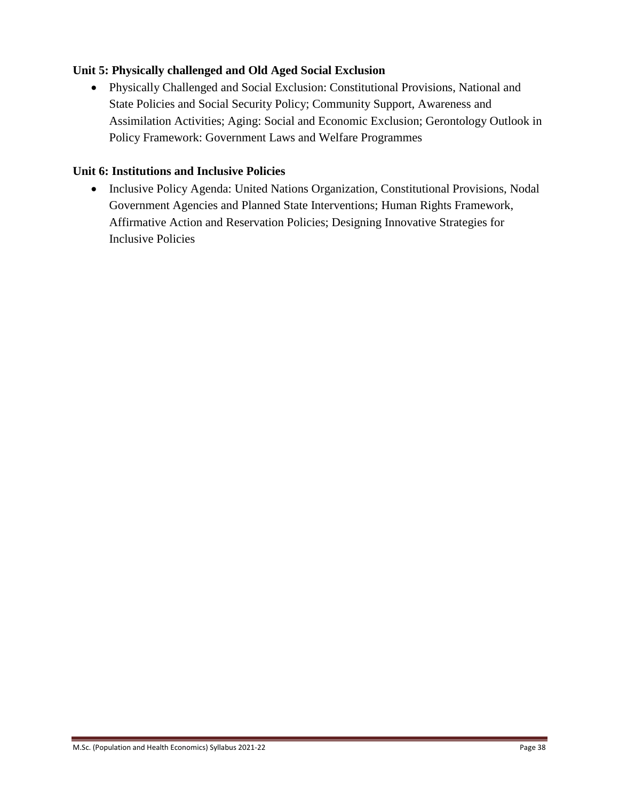### **Unit 5: Physically challenged and Old Aged Social Exclusion**

 Physically Challenged and Social Exclusion: Constitutional Provisions, National and State Policies and Social Security Policy; Community Support, Awareness and Assimilation Activities; Aging: Social and Economic Exclusion; Gerontology Outlook in Policy Framework: Government Laws and Welfare Programmes

### **Unit 6: Institutions and Inclusive Policies**

• Inclusive Policy Agenda: United Nations Organization, Constitutional Provisions, Nodal Government Agencies and Planned State Interventions; Human Rights Framework, Affirmative Action and Reservation Policies; Designing Innovative Strategies for Inclusive Policies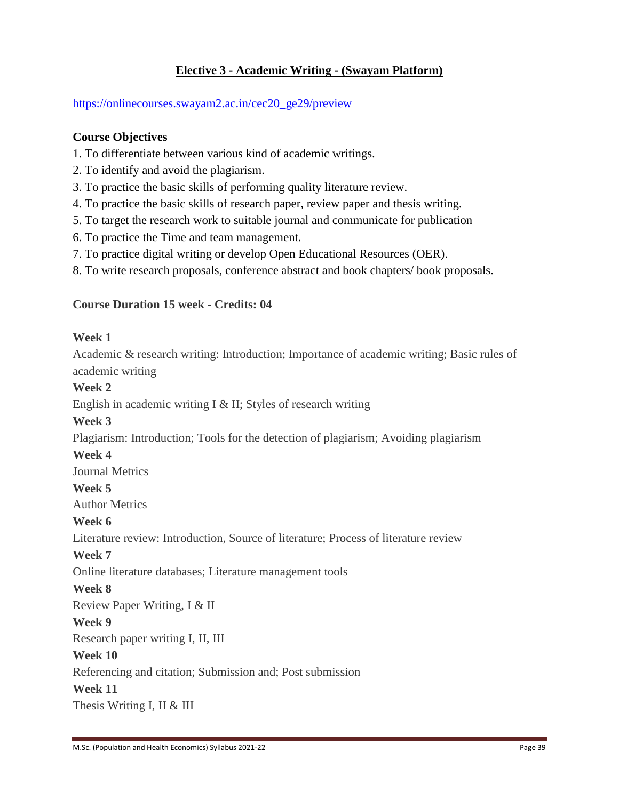### **Elective 3 - Academic Writing - (Swayam Platform)**

[https://onlinecourses.swayam2.ac.in/cec20\\_ge29/preview](https://onlinecourses.swayam2.ac.in/cec20_ge29/preview)

#### **Course Objectives**

- 1. To differentiate between various kind of academic writings.
- 2. To identify and avoid the plagiarism.
- 3. To practice the basic skills of performing quality literature review.
- 4. To practice the basic skills of research paper, review paper and thesis writing.
- 5. To target the research work to suitable journal and communicate for publication
- 6. To practice the Time and team management.
- 7. To practice digital writing or develop Open Educational Resources (OER).
- 8. To write research proposals, conference abstract and book chapters/ book proposals.

#### **Course Duration 15 week - Credits: 04**

#### **Week 1**

Academic & research writing: Introduction; Importance of academic writing; Basic rules of academic writing

#### **Week 2**

English in academic writing I & II; Styles of research writing

#### **Week 3**

Plagiarism: Introduction; Tools for the detection of plagiarism; Avoiding plagiarism

#### **Week 4**

Journal Metrics

#### **Week 5**

Author Metrics

#### **Week 6**

Literature review: Introduction, Source of literature; Process of literature review

#### **Week 7**

Online literature databases; Literature management tools

#### **Week 8**

Review Paper Writing, I & II

#### **Week 9**

Research paper writing I, II, III

#### **Week 10**

Referencing and citation; Submission and; Post submission

#### **Week 11**

Thesis Writing I, II & III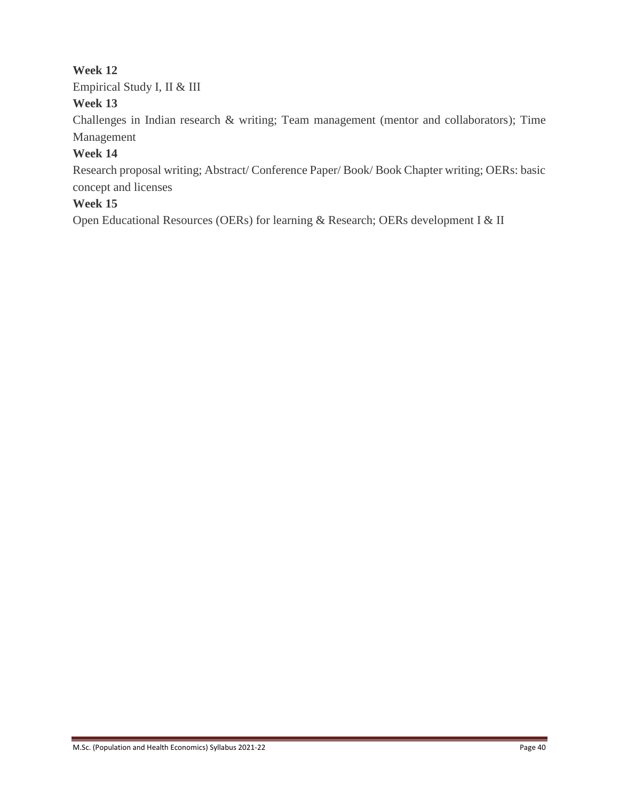## **Week 12**

Empirical Study I, II & III

## **Week 13**

Challenges in Indian research & writing; Team management (mentor and collaborators); Time Management

## **Week 14**

Research proposal writing; Abstract/ Conference Paper/ Book/ Book Chapter writing; OERs: basic concept and licenses

# **Week 15**

Open Educational Resources (OERs) for learning & Research; OERs development I & II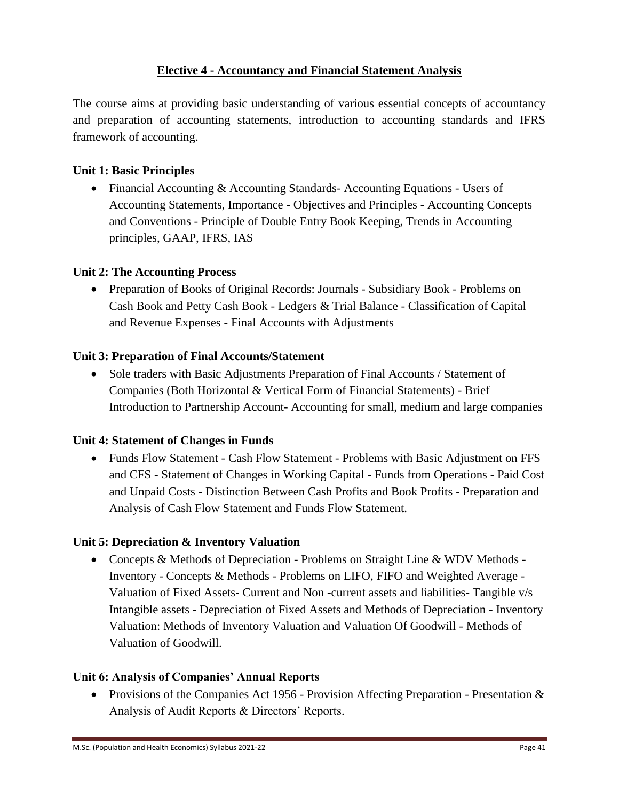### **Elective 4 - Accountancy and Financial Statement Analysis**

The course aims at providing basic understanding of various essential concepts of accountancy and preparation of accounting statements, introduction to accounting standards and IFRS framework of accounting.

### **Unit 1: Basic Principles**

• Financial Accounting & Accounting Standards- Accounting Equations - Users of Accounting Statements, Importance - Objectives and Principles - Accounting Concepts and Conventions - Principle of Double Entry Book Keeping, Trends in Accounting principles, GAAP, IFRS, IAS

### **Unit 2: The Accounting Process**

• Preparation of Books of Original Records: Journals - Subsidiary Book - Problems on Cash Book and Petty Cash Book - Ledgers & Trial Balance - Classification of Capital and Revenue Expenses - Final Accounts with Adjustments

### **Unit 3: Preparation of Final Accounts/Statement**

• Sole traders with Basic Adjustments Preparation of Final Accounts / Statement of Companies (Both Horizontal & Vertical Form of Financial Statements) - Brief Introduction to Partnership Account- Accounting for small, medium and large companies

### **Unit 4: Statement of Changes in Funds**

• Funds Flow Statement - Cash Flow Statement - Problems with Basic Adjustment on FFS and CFS - Statement of Changes in Working Capital - Funds from Operations - Paid Cost and Unpaid Costs - Distinction Between Cash Profits and Book Profits - Preparation and Analysis of Cash Flow Statement and Funds Flow Statement.

## **Unit 5: Depreciation & Inventory Valuation**

• Concepts & Methods of Depreciation - Problems on Straight Line & WDV Methods -Inventory - Concepts & Methods - Problems on LIFO, FIFO and Weighted Average - Valuation of Fixed Assets- Current and Non -current assets and liabilities- Tangible v/s Intangible assets - Depreciation of Fixed Assets and Methods of Depreciation - Inventory Valuation: Methods of Inventory Valuation and Valuation Of Goodwill - Methods of Valuation of Goodwill.

## **Unit 6: Analysis of Companies' Annual Reports**

• Provisions of the Companies Act 1956 - Provision Affecting Preparation - Presentation  $\&$ Analysis of Audit Reports & Directors' Reports.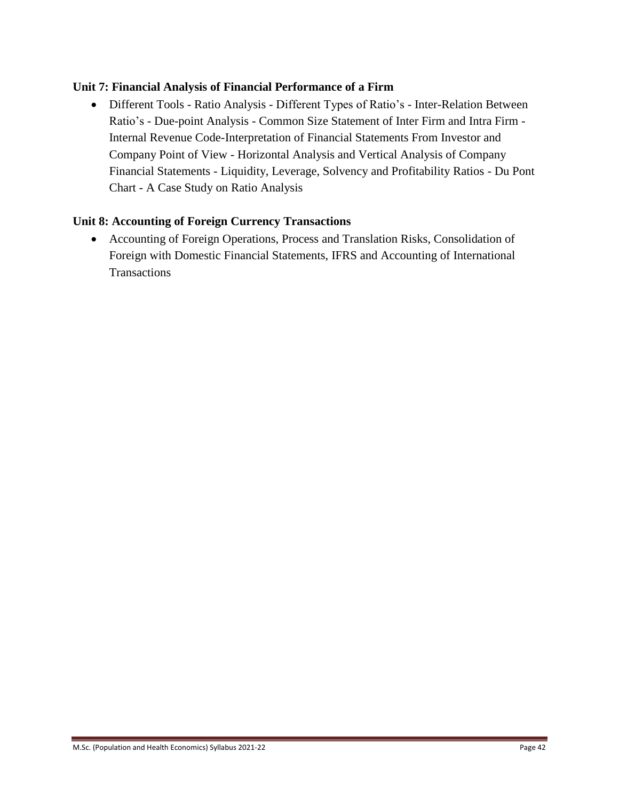#### **Unit 7: Financial Analysis of Financial Performance of a Firm**

 Different Tools - Ratio Analysis - Different Types of Ratio's - Inter-Relation Between Ratio's - Due-point Analysis - Common Size Statement of Inter Firm and Intra Firm - Internal Revenue Code-Interpretation of Financial Statements From Investor and Company Point of View - Horizontal Analysis and Vertical Analysis of Company Financial Statements - Liquidity, Leverage, Solvency and Profitability Ratios - Du Pont Chart - A Case Study on Ratio Analysis

#### **Unit 8: Accounting of Foreign Currency Transactions**

 Accounting of Foreign Operations, Process and Translation Risks, Consolidation of Foreign with Domestic Financial Statements, IFRS and Accounting of International **Transactions**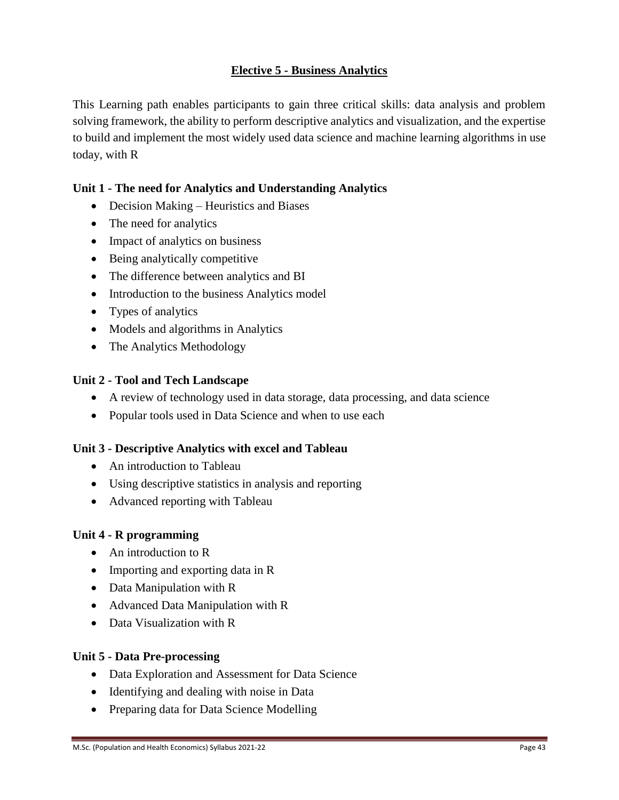## **Elective 5 - Business Analytics**

This Learning path enables participants to gain three critical skills: data analysis and problem solving framework, the ability to perform descriptive analytics and visualization, and the expertise to build and implement the most widely used data science and machine learning algorithms in use today, with R

### **Unit 1 - The need for Analytics and Understanding Analytics**

- Decision Making Heuristics and Biases
- The need for analytics
- Impact of analytics on business
- Being analytically competitive
- The difference between analytics and BI
- Introduction to the business Analytics model
- Types of analytics
- Models and algorithms in Analytics
- The Analytics Methodology

#### **Unit 2 - Tool and Tech Landscape**

- A review of technology used in data storage, data processing, and data science
- Popular tools used in Data Science and when to use each

### **Unit 3 - Descriptive Analytics with excel and Tableau**

- An introduction to Tableau
- Using descriptive statistics in analysis and reporting
- Advanced reporting with Tableau

#### **Unit 4 - R programming**

- An introduction to R
- Importing and exporting data in R
- Data Manipulation with R
- Advanced Data Manipulation with R
- Data Visualization with R

### **Unit 5 - Data Pre-processing**

- Data Exploration and Assessment for Data Science
- Identifying and dealing with noise in Data
- Preparing data for Data Science Modelling